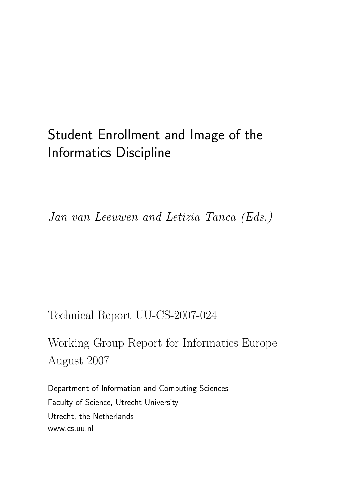# Student Enrollment and Image of the Informatics Discipline

Jan van Leeuwen and Letizia Tanca (Eds.)

Technical Report UU-CS-2007-024

Working Group Report for Informatics Europe August 2007

Department of Information and Computing Sciences Faculty of Science, Utrecht University Utrecht, the Netherlands www.cs.uu.nl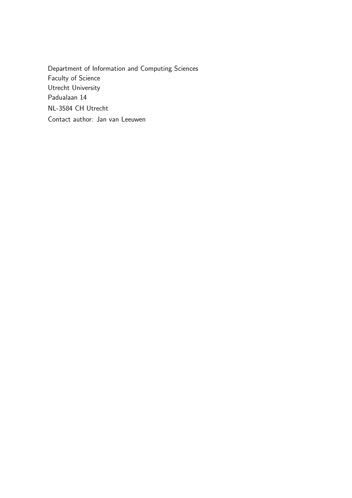Department of Information and Computing Sciences Faculty of Science Utrecht University Padualaan 14 NL-3584 CH Utrecht Contact author: Jan van Leeuwen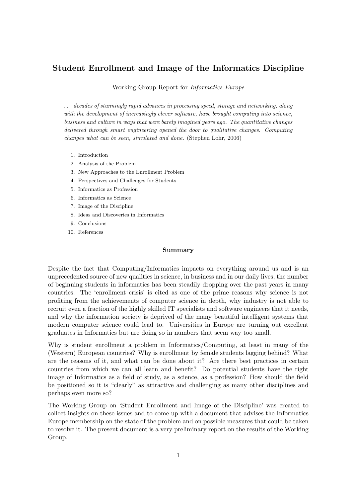# Student Enrollment and Image of the Informatics Discipline

Working Group Report for Informatics Europe

. . . decades of stunningly rapid advances in processing speed, storage and networking, along with the development of increasingly clever software, have brought computing into science, business and culture in ways that were barely imagined years ago. The quantitative changes delivered through smart engineering opened the door to qualitative changes. Computing changes what can be seen, simulated and done. (Stephen Lohr, 2006)

- 1. Introduction
- 2. Analysis of the Problem
- 3. New Approaches to the Enrollment Problem
- 4. Perspectives and Challenges for Students
- 5. Informatics as Profession
- 6. Informatics as Science
- 7. Image of the Discipline
- 8. Ideas and Discoveries in Informatics
- 9. Conclusions
- 10. References

#### Summary

Despite the fact that Computing/Informatics impacts on everything around us and is an unprecedented source of new qualities in science, in business and in our daily lives, the number of beginning students in informatics has been steadily dropping over the past years in many countries. The 'enrollment crisis' is cited as one of the prime reasons why science is not profiting from the achievements of computer science in depth, why industry is not able to recruit even a fraction of the highly skilled IT specialists and software engineers that it needs, and why the information society is deprived of the many beautiful intelligent systems that modern computer science could lead to. Universities in Europe are turning out excellent graduates in Informatics but are doing so in numbers that seem way too small.

Why is student enrollment a problem in Informatics/Computing, at least in many of the (Western) European countries? Why is enrollment by female students lagging behind? What are the reasons of it, and what can be done about it? Are there best practices in certain countries from which we can all learn and benefit? Do potential students have the right image of Informatics as a field of study, as a science, as a profession? How should the field be positioned so it is "clearly" as attractive and challenging as many other disciplines and perhaps even more so?

The Working Group on 'Student Enrollment and Image of the Discipline' was created to collect insights on these issues and to come up with a document that advises the Informatics Europe membership on the state of the problem and on possible measures that could be taken to resolve it. The present document is a very preliminary report on the results of the Working Group.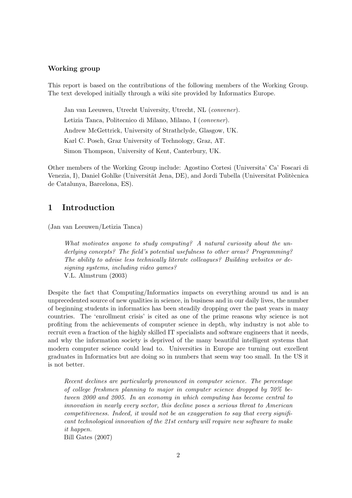### Working group

This report is based on the contributions of the following members of the Working Group. The text developed initially through a wiki site provided by Informatics Europe.

Jan van Leeuwen, Utrecht University, Utrecht, NL (convener). Letizia Tanca, Politecnico di Milano, Milano, I (convener). Andrew McGettrick, University of Strathclyde, Glasgow, UK. Karl C. Posch, Graz University of Technology, Graz, AT. Simon Thompson, University of Kent, Canterbury, UK.

Other members of the Working Group include: Agostino Cortesi (Universita' Ca' Foscari di Venezia, I), Daniel Gohlke (Universität Jena, DE), and Jordi Tubella (Universitat Politècnica de Catalunya, Barcelona, ES).

# 1 Introduction

(Jan van Leeuwen/Letizia Tanca)

What motivates anyone to study computing? A natural curiosity about the underlying concepts? The field's potential usefulness to other areas? Programming? The ability to advise less technically literate colleagues? Building websites or designing systems, including video games? V.L. Almstrum (2003)

Despite the fact that Computing/Informatics impacts on everything around us and is an unprecedented source of new qualities in science, in business and in our daily lives, the number of beginning students in informatics has been steadily dropping over the past years in many countries. The 'enrollment crisis' is cited as one of the prime reasons why science is not profiting from the achievements of computer science in depth, why industry is not able to recruit even a fraction of the highly skilled IT specialists and software engineers that it needs, and why the information society is deprived of the many beautiful intelligent systems that modern computer science could lead to. Universities in Europe are turning out excellent graduates in Informatics but are doing so in numbers that seem way too small. In the US it is not better.

Recent declines are particularly pronounced in computer science. The percentage of college freshmen planning to major in computer science dropped by 70% between 2000 and 2005. In an economy in which computing has become central to innovation in nearly every sector, this decline poses a serious threat to American competitiveness. Indeed, it would not be an exaggeration to say that every significant technological innovation of the 21st century will require new software to make it happen.

Bill Gates (2007)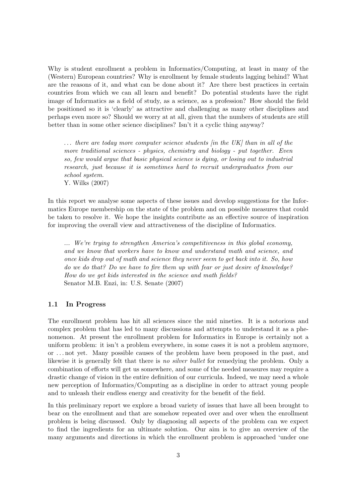Why is student enrollment a problem in Informatics/Computing, at least in many of the (Western) European countries? Why is enrollment by female students lagging behind? What are the reasons of it, and what can be done about it? Are there best practices in certain countries from which we can all learn and benefit? Do potential students have the right image of Informatics as a field of study, as a science, as a profession? How should the field be positioned so it is 'clearly' as attractive and challenging as many other disciplines and perhaps even more so? Should we worry at at all, given that the numbers of students are still better than in some other science disciplines? Isn't it a cyclic thing anyway?

 $\ldots$  there are today more computer science students [in the UK] than in all of the more traditional sciences - physics, chemistry and biology - put together. Even so, few would argue that basic physical science is dying, or losing out to industrial research, just because it is sometimes hard to recruit undergraduates from our school system. Y. Wilks (2007)

In this report we analyse some aspects of these issues and develop suggestions for the Informatics Europe membership on the state of the problem and on possible measures that could be taken to resolve it. We hope the insights contribute as an effective source of inspiration for improving the overall view and attractiveness of the discipline of Informatics.

... We're trying to strengthen America's competitiveness in this global economy, and we know that workers have to know and understand math and science, and once kids drop out of math and science they never seem to get back into it. So, how do we do that? Do we have to fire them up with fear or just desire of knowledge? How do we get kids interested in the science and math fields? Senator M.B. Enzi, in: U.S. Senate (2007)

### 1.1 In Progress

The enrollment problem has hit all sciences since the mid nineties. It is a notorious and complex problem that has led to many discussions and attempts to understand it as a phenomenon. At present the enrollment problem for Informatics in Europe is certainly not a uniform problem: it isn't a problem everywhere, in some cases it is not a problem anymore, or . . . not yet. Many possible causes of the problem have been proposed in the past, and likewise it is generally felt that there is no silver bullet for remedying the problem. Only a combination of efforts will get us somewhere, and some of the needed measures may require a drastic change of vision in the entire definition of our curricula. Indeed, we may need a whole new perception of Informatics/Computing as a discipline in order to attract young people and to unleash their endless energy and creativity for the benefit of the field.

In this preliminary report we explore a broad variety of issues that have all been brought to bear on the enrollment and that are somehow repeated over and over when the enrollment problem is being discussed. Only by diagnosing all aspects of the problem can we expect to find the ingredients for an ultimate solution. Our aim is to give an overview of the many arguments and directions in which the enrollment problem is approached 'under one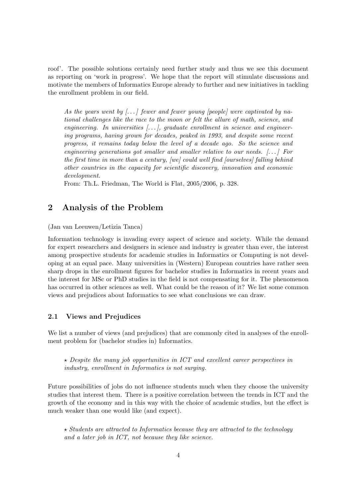roof'. The possible solutions certainly need further study and thus we see this document as reporting on 'work in progress'. We hope that the report will stimulate discussions and motivate the members of Informatics Europe already to further and new initiatives in tackling the enrollment problem in our field.

As the years went by  $\lceil \ldots \rceil$  fewer and fewer young [people] were captivated by national challenges like the race to the moon or felt the allure of math, science, and engineering. In universities  $[\ldots]$ , graduate enrollment in science and engineering programs, having grown for decades, peaked in 1993, and despite some recent progress, it remains today below the level of a decade ago. So the science and engineering generations got smaller and smaller relative to our needs.  $[...]$  For the first time in more than a century, [we] could well find [ourselves] falling behind other countries in the capacity for scientific discovery, innovation and economic development.

From: Th.L. Friedman, The World is Flat, 2005/2006, p. 328.

# 2 Analysis of the Problem

(Jan van Leeuwen/Letizia Tanca)

Information technology is invading every aspect of science and society. While the demand for expert researchers and designers in science and industry is greater than ever, the interest among prospective students for academic studies in Informatics or Computing is not developing at an equal pace. Many universities in (Western) European countries have rather seen sharp drops in the enrollment figures for bachelor studies in Informatics in recent years and the interest for MSc or PhD studies in the field is not compensating for it. The phenomenon has occurred in other sciences as well. What could be the reason of it? We list some common views and prejudices about Informatics to see what conclusions we can draw.

### 2.1 Views and Prejudices

We list a number of views (and prejudices) that are commonly cited in analyses of the enrollment problem for (bachelor studies in) Informatics.

 $\star$  Despite the many job opportunities in ICT and excellent career perspectives in industry, enrollment in Informatics is not surging.

Future possibilities of jobs do not influence students much when they choose the university studies that interest them. There is a positive correlation between the trends in ICT and the growth of the economy and in this way with the choice of academic studies, but the effect is much weaker than one would like (and expect).

 $\star$  Students are attracted to Informatics because they are attracted to the technology and a later job in ICT, not because they like science.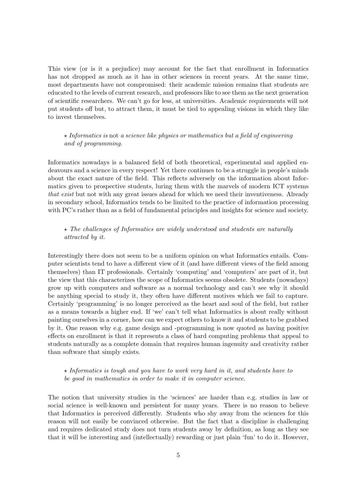This view (or is it a prejudice) may account for the fact that enrollment in Informatics has not dropped as much as it has in other sciences in recent years. At the same time, most departments have not compromised: their academic mission remains that students are educated to the levels of current research, and professors like to see them as the next generation of scientific researchers. We can't go for less, at universities. Academic requirements will not put students off but, to attract them, it must be tied to appealing visions in which they like to invest themselves.

# $\star$  Informatics is not a science like physics or mathematics but a field of engineering and of programming.

Informatics nowadays is a balanced field of both theoretical, experimental and applied endeavours and a science in every respect! Yet there continues to be a struggle in people's minds about the exact nature of the field. This reflects adversely on the information about Informatics given to prospective students, luring them with the marvels of modern ICT systems that exist but not with any great issues ahead for which we need their inventiveness. Already in secondary school, Informatics tends to be limited to the practice of information processing with PC's rather than as a field of fundamental principles and insights for science and society.

# $\star$  The challenges of Informatics are widely understood and students are naturally attracted by it.

Interestingly there does not seem to be a uniform opinion on what Informatics entails. Computer scientists tend to have a different view of it (and have different views of the field among themselves) than IT professionals. Certainly 'computing' and 'computers' are part of it, but the view that this characterizes the scope of Informatics seems obsolete. Students (nowadays) grow up with computers and software as a normal technology and can't see why it should be anything special to study it, they often have different motives which we fail to capture. Certainly 'programming' is no longer perceived as the heart and soul of the field, but rather as a means towards a higher end. If 'we' can't tell what Informatics is about really without painting ourselves in a corner, how can we expect others to know it and students to be grabbed by it. One reason why e.g. game design and -programming is now quoted as having positive effects on enrollment is that it represents a class of hard computing problems that appeal to students naturally as a complete domain that requires human ingenuity and creativity rather than software that simply exists.

# $\star$  Informatics is tough and you have to work very hard in it, and students have to be good in mathematics in order to make it in computer science.

The notion that university studies in the 'sciences' are harder than e.g. studies in law or social science is well-known and persistent for many years. There is no reason to believe that Informatics is perceived differently. Students who shy away from the sciences for this reason will not easily be convinced otherwise. But the fact that a discipline is challenging and requires dedicated study does not turn students away by definition, as long as they see that it will be interesting and (intellectually) rewarding or just plain 'fun' to do it. However,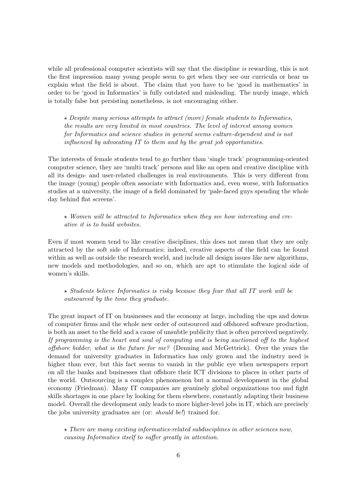while all professional computer scientists will say that the discipline is rewarding, this is not the first impression many young people seem to get when they see our curricula or hear us explain what the field is about. The claim that you have to be 'good in mathematics' in order to be 'good in Informatics' is fully outdated and misleading. The nurdy image, which is totally false but persisting nonetheless, is not encouraging either.

 $\star$  Despite many serious attempts to attract (more) female students to Informatics, the results are very limited in most countries. The level of interest among women for Informatics and science studies in general seems culture-dependent and is not influenced by advocating IT to them and by the great job opportunities.

The interests of female students tend to go further than 'single track' programming-oriented computer science, they are 'multi track' persons and like an open and creative discipline with all its design- and user-related challenges in real environments. This is very different from the image (young) people often associate with Informatics and, even worse, with Informatics studies at a university, the image of a field dominated by 'pale-faced guys spending the whole day behind flat screens'.

 $\star$  Women will be attracted to Informatics when they see how interesting and creative it is to build websites.

Even if most women tend to like creative disciplines, this does not mean that they are only attracted by the soft side of Informatics; indeed, creative aspects of the field can be found within as well as outside the research world, and include all design issues like new algorithms, new models and methodologies, and so on, which are apt to stimulate the logical side of women's skills.

 $\star$  Students believe Informatics is risky because they fear that all IT work will be outsourced by the time they graduate.

The great impact of IT on businesses and the economy at large, including the ups and downs of computer firms and the whole new order of outsourced and offshored software production, is both an asset to the field and a cause of unsubtle publicity that is often perceived negatively. If programming is the heart and soul of computing and is being auctioned off to the highest offshore bidder, what is the future for me? (Denning and McGettrick). Over the years the demand for university graduates in Informatics has only grown and the industry need is higher than ever, but this fact seems to vanish in the public eye when newspapers report on all the banks and businesses that offshore their ICT divisions to places in other parts of the world. Outsourcing is a complex phenomenon but a normal development in the global economy (Friedman). Many IT companies are genuinely global organizations too and fight skills shortages in one place by looking for them elsewhere, constantly adapting their business model. Overall the development only leads to more higher-level jobs in IT, which are precisely the jobs university graduates are (or: *should be!*) trained for.

 $\star$  There are many exciting informatics-related subdisciplines in other sciences now, causing Informatics itself to suffer greatly in attention.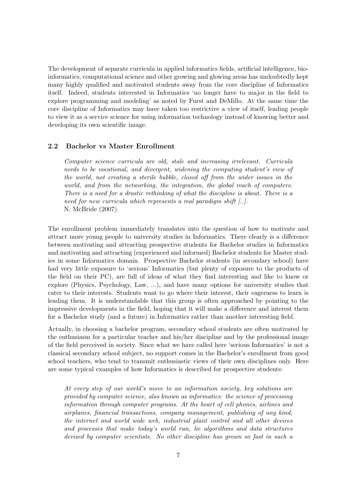The development of separate curricula in applied informatics fields, artificial intelligence, bioinformatics, computational science and other growing and glowing areas has undoubtedly kept many highly qualified and motivated students away from the core discipline of Informatics itself. Indeed, students interested in Informatics 'no longer have to major in the field to explore programming and modeling' as noted by Furst and DeMillo. At the same time the core discipline of Informatics may have taken too restrictive a view of itself, leading people to view it as a service science for using information technology instead of knowing better and developing its own scientific image.

# 2.2 Bachelor vs Master Enrollment

Computer science curricula are old, stale and increasing irrelevant. Curricula needs to be vocational, and divergent, widening the computing student's view of the world, not creating a sterile bubble, closed off from the wider issues in the world, and from the networking, the integration, the global reach of computers. There is a need for a drastic rethinking of what the discipline is about. There is a need for new curricula which represents a real paradigm shift  $[...]$ . N. McBride (2007).

The enrollment problem immediately translates into the question of how to motivate and attract more young people to university studies in Informatics. There clearly is a difference between motivating and attracting prospective students for Bachelor studies in Informatics and motivating and attracting (experienced and informed) Bachelor students for Master studies in some Informatics domain. Prospective Bachelor students (in secondary school) have had very little exposure to 'serious' Informatics (but plenty of exposure to the products of the field on their PC), are full of ideas of what they find interesting and like to know or explore (Physics, Psychology, Law, ...), and have many options for university studies that cater to their interests. Students want to go where their interest, their eagerness to learn is leading them. It is understandable that this group is often approached by pointing to the impressive developments in the field, hoping that it will make a difference and interest them for a Bachelor study (and a future) in Informatics rather than another interesting field.

Actually, in choosing a bachelor program, secondary school students are often motivated by the enthusiasm for a particular teacher and his/her discipline and by the professional image of the field perceived in society. Since what we have called here 'serious Informatics' is not a classical secondary school subject, no support comes in the Bachelor's enrollment from good school teachers, who tend to transmit enthusiastic views of their own disciplines only. Here are some typical examples of how Informatics is described for prospective students:

At every step of our world's move to an information society, key solutions are provided by computer science, also known as informatics: the science of processing information through computer programs. At the heart of cell phones, airlines and airplanes, financial transactions, company management, publishing of any kind, the internet and world wide web, industrial plant control and all other devices and processes that make today's world run, lie algorithms and data structures devised by computer scientists. No other discipline has grown so fast in such a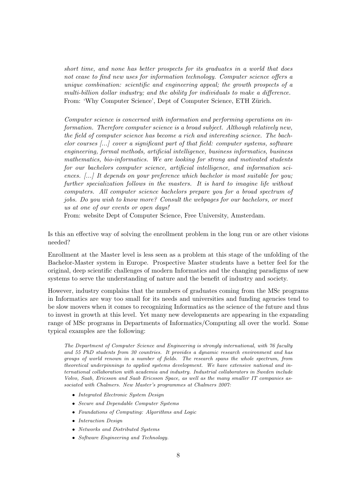short time, and none has better prospects for its graduates in a world that does not cease to find new uses for information technology. Computer science offers a unique combination: scientific and engineering appeal; the growth prospects of a multi-billion dollar industry; and the ability for individuals to make a difference. From: 'Why Computer Science', Dept of Computer Science, ETH Zürich.

Computer science is concerned with information and performing operations on information. Therefore computer science is a broad subject. Although relatively new, the field of computer science has become a rich and interesting science. The bachelor courses  $\left\lfloor \ldots \right\rfloor$  cover a significant part of that field: computer systems, software engineering, formal methods, artificial intelligence, business informatics, business mathematics, bio-informatics. We are looking for strong and motivated students for our bachelors computer science, artificial intelligence, and information sciences. [...] It depends on your preference which bachelor is most suitable for you; further specialization follows in the masters. It is hard to imagine life without computers. All computer science bachelors prepare you for a broad spectrum of jobs. Do you wish to know more? Consult the webpages for our bachelors, or meet us at one of our events or open days!

From: website Dept of Computer Science, Free University, Amsterdam.

Is this an effective way of solving the enrollment problem in the long run or are other visions needed?

Enrollment at the Master level is less seen as a problem at this stage of the unfolding of the Bachelor-Master system in Europe. Prospective Master students have a better feel for the original, deep scientific challenges of modern Informatics and the changing paradigms of new systems to serve the understanding of nature and the benefit of industry and society.

However, industry complains that the numbers of graduates coming from the MSc programs in Informatics are way too small for its needs and universities and funding agencies tend to be slow movers when it comes to recognizing Informatics as the science of the future and thus to invest in growth at this level. Yet many new developments are appearing in the expanding range of MSc programs in Departments of Informatics/Computing all over the world. Some typical examples are the following:

The Department of Computer Science and Engineering is strongly international, with 76 faculty and 55 PhD students from 30 countries. It provides a dynamic research environment and has groups of world renown in a number of fields. The research spans the whole spectrum, from theoretical underpinnings to applied systems development. We have extensive national and international collaboration with academia and industry. Industrial collaborators in Sweden include Volvo, Saab, Ericsson and Saab Ericsson Space, as well as the many smaller IT companies associated with Chalmers. New Master's programmes at Chalmers 2007:

- Integrated Electronic System Design
- Secure and Dependable Computer Systems
- Foundations of Computing: Algorithms and Logic
- Interaction Design
- Networks and Distributed Systems
- Software Engineering and Technology.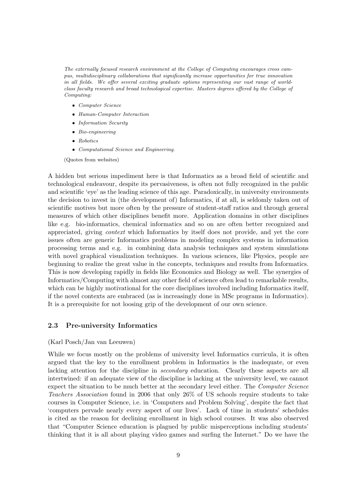The externally focused research environment at the College of Computing encourages cross campus, multidisciplinary collaborations that significantly increase opportunities for true innovation in all fields. We offer several exciting graduate options representing our vast range of worldclass faculty research and broad technological expertise. Masters degrees offered by the College of Computing:

- Computer Science
- Human-Computer Interaction
- Information Security
- Bio-engineering
- Robotics
- Computational Science and Engineering.

(Quotes from websites)

A hidden but serious impediment here is that Informatics as a broad field of scientific and technological endeavour, despite its pervasiveness, is often not fully recognized in the public and scientific 'eye' as the leading science of this age. Paradoxically, in university environments the decision to invest in (the development of) Informatics, if at all, is seldomly taken out of scientific motives but more often by the pressure of student-staff ratios and through general measures of which other disciplines benefit more. Application domains in other disciplines like e.g. bio-informatics, chemical informatics and so on are often better recognized and appreciated, giving context which Informatics by itself does not provide, and yet the core issues often are generic Informatics problems in modeling complex systems in information processing terms and e.g. in combining data analysis techniques and system simulations with novel graphical visualization techniques. In various sciences, like Physics, people are beginning to realize the great value in the concepts, techniques and results from Informatics. This is now developing rapidly in fields like Economics and Biology as well. The synergies of Informatics/Computing with almost any other field of science often lead to remarkable results, which can be highly motivational for the core disciplines involved including Informatics itself, if the novel contexts are embraced (as is increasingly done in MSc programs in Informatics). It is a prerequisite for not loosing grip of the development of our own science.

#### 2.3 Pre-university Informatics

### (Karl Posch/Jan van Leeuwen)

While we focus mostly on the problems of university level Informatics curricula, it is often argued that the key to the enrollment problem in Informatics is the inadequate, or even lacking attention for the discipline in *secondary* education. Clearly these aspects are all intertwined: if an adequate view of the discipline is lacking at the university level, we cannot expect the situation to be much better at the secondary level either. The *Computer Science* Teachers Association found in 2006 that only 26% of US schools require students to take courses in Computer Science, i.e. in 'Computers and Problem Solving', despite the fact that 'computers pervade nearly every aspect of our lives'. Lack of time in students' schedules is cited as the reason for declining enrollment in high school courses. It was also observed that "Computer Science education is plagued by public misperceptions including students' thinking that it is all about playing video games and surfing the Internet." Do we have the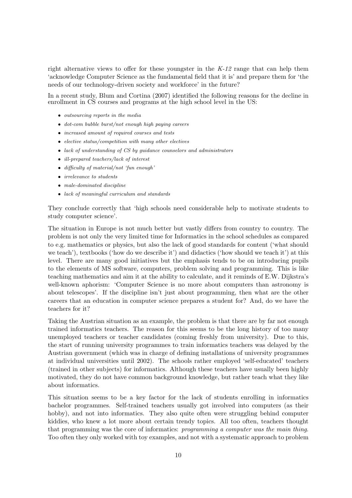right alternative views to offer for these youngster in the  $K-12$  range that can help them 'acknowledge Computer Science as the fundamental field that it is' and prepare them for 'the needs of our technology-driven society and workforce' in the future?

In a recent study, Blum and Cortina (2007) identified the following reasons for the decline in enrollment in CS courses and programs at the high school level in the US:

- outsourcing reports in the media
- dot-com bubble burst/not enough high paying careers
- increased amount of required courses and tests
- elective status/competition with many other electives
- lack of understanding of CS by guidance counselors and administrators
- ill-prepared teachers/lack of interest
- difficulty of material/not 'fun enough'
- *irrelevance to students*
- male-dominated discipline
- lack of meaningful curriculum and standards

They conclude correctly that 'high schools need considerable help to motivate students to study computer science'.

The situation in Europe is not much better but vastly differs from country to country. The problem is not only the very limited time for Informatics in the school schedules as compared to e.g. mathematics or physics, but also the lack of good standards for content ('what should we teach'), textbooks ('how do we describe it') and didactics ('how should we teach it') at this level. There are many good initiatives but the emphasis tends to be on introducing pupils to the elements of MS software, computers, problem solving and programming. This is like teaching mathematics and aim it at the ability to calculate, and it reminds of E.W. Dijkstra's well-known aphorism: 'Computer Science is no more about computers than astronomy is about telescopes'. If the discipline isn't just about programming, then what are the other careers that an education in computer science prepares a student for? And, do we have the teachers for it?

Taking the Austrian situation as an example, the problem is that there are by far not enough trained informatics teachers. The reason for this seems to be the long history of too many unemployed teachers or teacher candidates (coming freshly from university). Due to this, the start of running university programmes to train informatics teachers was delayed by the Austrian government (which was in charge of defining installations of university programmes at individual universities until 2002). The schools rather employed 'self-educated' teachers (trained in other subjects) for informatics. Although these teachers have usually been highly motivated, they do not have common background knowledge, but rather teach what they like about informatics.

This situation seems to be a key factor for the lack of students enrolling in informatics bachelor programmes. Self-trained teachers usually got involved into computers (as their hobby), and not into informatics. They also quite often were struggling behind computer kiddies, who knew a lot more about certain trendy topics. All too often, teachers thought that programming was the core of informatics: programming a computer was the main thing. Too often they only worked with toy examples, and not with a systematic approach to problem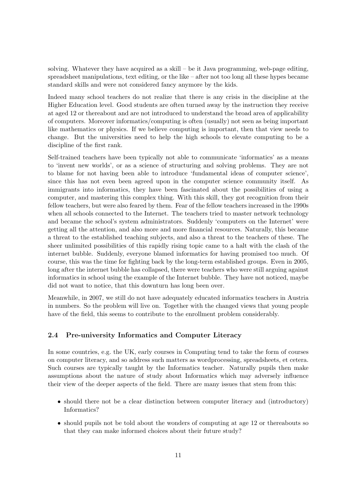solving. Whatever they have acquired as a skill – be it Java programming, web-page editing, spreadsheet manipulations, text editing, or the like – after not too long all these hypes became standard skills and were not considered fancy anymore by the kids.

Indeed many school teachers do not realize that there is any crisis in the discipline at the Higher Education level. Good students are often turned away by the instruction they receive at aged 12 or thereabout and are not introduced to understand the broad area of applicability of computers. Moreover informatics/computing is often (usually) not seen as being important like mathematics or physics. If we believe computing is important, then that view needs to change. But the universities need to help the high schools to elevate computing to be a discipline of the first rank.

Self-trained teachers have been typically not able to communicate 'informatics' as a means to 'invent new worlds', or as a science of structuring and solving problems. They are not to blame for not having been able to introduce 'fundamental ideas of computer science', since this has not even been agreed upon in the computer science community itself. As immigrants into informatics, they have been fascinated about the possibilities of using a computer, and mastering this complex thing. With this skill, they got recognition from their fellow teachers, but were also feared by them. Fear of the fellow teachers increased in the 1990s when all schools connected to the Internet. The teachers tried to master network technology and became the school's system administrators. Suddenly 'computers on the Internet' were getting all the attention, and also more and more financial resources. Naturally, this became a threat to the established teaching subjects, and also a threat to the teachers of these. The sheer unlimited possibilities of this rapidly rising topic came to a halt with the clash of the internet bubble. Suddenly, everyone blamed informatics for having promised too much. Of course, this was the time for fighting back by the long-term established groups. Even in 2005, long after the internet bubble has collapsed, there were teachers who were still arguing against informatics in school using the example of the Internet bubble. They have not noticed, maybe did not want to notice, that this downturn has long been over.

Meanwhile, in 2007, we still do not have adequately educated informatics teachers in Austria in numbers. So the problem will live on. Together with the changed views that young people have of the field, this seems to contribute to the enrollment problem considerably.

### 2.4 Pre-university Informatics and Computer Literacy

In some countries, e.g. the UK, early courses in Computing tend to take the form of courses on computer literacy, and so address such matters as wordprocessing, spreadsheets, et cetera. Such courses are typically taught by the Informatics teacher. Naturally pupils then make assumptions about the nature of study about Informatics which may adversely influence their view of the deeper aspects of the field. There are many issues that stem from this:

- should there not be a clear distinction between computer literacy and (introductory) Informatics?
- should pupils not be told about the wonders of computing at age 12 or thereabouts so that they can make informed choices about their future study?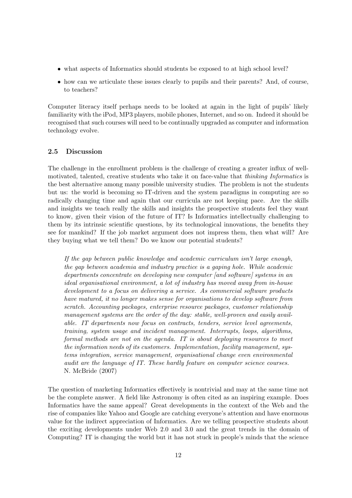- what aspects of Informatics should students be exposed to at high school level?
- how can we articulate these issues clearly to pupils and their parents? And, of course, to teachers?

Computer literacy itself perhaps needs to be looked at again in the light of pupils' likely familiarity with the iPod, MP3 players, mobile phones, Internet, and so on. Indeed it should be recognised that such courses will need to be continually upgraded as computer and information technology evolve.

### 2.5 Discussion

The challenge in the enrollment problem is the challenge of creating a greater influx of wellmotivated, talented, creative students who take it on face-value that *thinking Informatics* is the best alternative among many possible university studies. The problem is not the students but us: the world is becoming so IT-driven and the system paradigms in computing are so radically changing time and again that our curricula are not keeping pace. Are the skills and insights we teach really the skills and insights the prospective students feel they want to know, given their vision of the future of IT? Is Informatics intellectually challenging to them by its intrinsic scientific questions, by its technological innovations, the benefits they see for mankind? If the job market argument does not impress them, then what will? Are they buying what we tell them? Do we know our potential students?

If the gap between public knowledge and academic curriculum isn't large enough, the gap between academia and industry practice is a gaping hole. While academic departments concentrate on developing new computer [and software] systems in an ideal organisational environment, a lot of industry has moved away from in-house development to a focus on delivering a service. As commercial software products have matured, it no longer makes sense for organisations to develop software from scratch. Accounting packages, enterprise resource packages, customer relationship management systems are the order of the day: stable, well-proven and easily available. IT departments now focus on contracts, tenders, service level agreements, training, system usage and incident management. Interrupts, loops, algorithms, formal methods are not on the agenda. IT is about deploying resources to meet the information needs of its customers. Implementation, facility management, systems integration, service management, organisational change even environmental audit are the language of IT. These hardly feature on computer science courses. N. McBride (2007)

The question of marketing Informatics effectively is nontrivial and may at the same time not be the complete answer. A field like Astronomy is often cited as an inspiring example. Does Informatics have the same appeal? Great developments in the context of the Web and the rise of companies like Yahoo and Google are catching everyone's attention and have enormous value for the indirect appreciation of Informatics. Are we telling prospective students about the exciting developments under Web 2.0 and 3.0 and the great trends in the domain of Computing? IT is changing the world but it has not stuck in people's minds that the science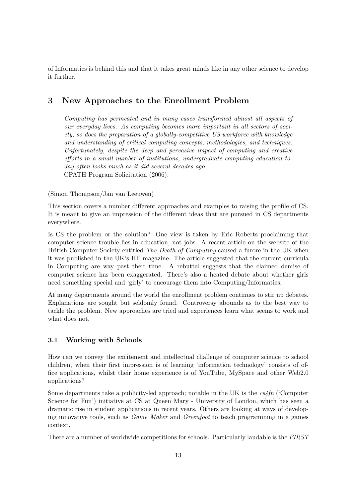of Informatics is behind this and that it takes great minds like in any other science to develop it further.

# 3 New Approaches to the Enrollment Problem

Computing has permeated and in many cases transformed almost all aspects of our everyday lives. As computing becomes more important in all sectors of society, so does the preparation of a globally-competitive US workforce with knowledge and understanding of critical computing concepts, methodologies, and techniques. Unfortunately, despite the deep and pervasive impact of computing and creative efforts in a small number of institutions, undergraduate computing education today often looks much as it did several decades ago. CPATH Program Solicitation (2006).

(Simon Thompson/Jan van Leeuwen)

This section covers a number different approaches and examples to raising the profile of CS. It is meant to give an impression of the different ideas that are pursued in CS departments everywhere.

Is CS the problem or the solution? One view is taken by Eric Roberts proclaiming that computer science trouble lies in education, not jobs. A recent article on the website of the British Computer Society entitled The Death of Computing caused a furore in the UK when it was published in the UK's HE magazine. The article suggested that the current curricula in Computing are way past their time. A rebuttal suggests that the claimed demise of computer science has been exaggerated. There's also a heated debate about whether girls need something special and 'girly' to encourage them into Computing/Informatics.

At many departments around the world the enrollment problem continues to stir up debates. Explanations are sought but seldomly found. Controversy abounds as to the best way to tackle the problem. New approaches are tried and experiences learn what seems to work and what does not.

# 3.1 Working with Schools

How can we convey the excitement and intellectual challenge of computer science to school children, when their first impression is of learning 'information technology' consists of office applications, whilst their home experience is of YouTube, MySpace and other Web2.0 applications?

Some departments take a publicity-led approach; notable in the UK is the  $cs/fn$  (Computer Science for Fun') initiative at CS at Queen Mary - University of London, which has seen a dramatic rise in student applications in recent years. Others are looking at ways of developing innovative tools, such as Game Maker and Greenfoot to teach programming in a games context.

There are a number of worldwide competitions for schools. Particularly laudable is the FIRST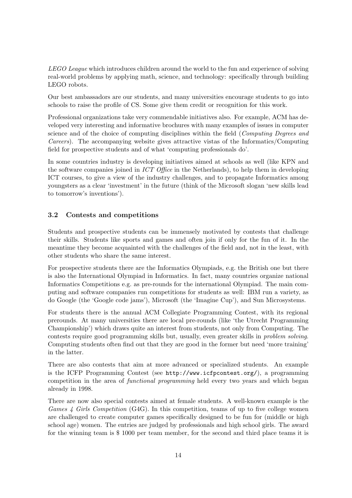LEGO League which introduces children around the world to the fun and experience of solving real-world problems by applying math, science, and technology: specifically through building LEGO robots.

Our best ambassadors are our students, and many universities encourage students to go into schools to raise the profile of CS. Some give them credit or recognition for this work.

Professional organizations take very commendable initiatives also. For example, ACM has developed very interesting and informative brochures with many examples of issues in computer science and of the choice of computing disciplines within the field (*Computing Degrees and* Careers). The accompanying website gives attractive vistas of the Informatics/Computing field for prospective students and of what 'computing professionals do'.

In some countries industry is developing initiatives aimed at schools as well (like KPN and the software companies joined in ICT Office in the Netherlands), to help them in developing ICT courses, to give a view of the industry challenges, and to propagate Informatics among youngsters as a clear 'investment' in the future (think of the Microsoft slogan 'new skills lead to tomorrow's inventions').

# 3.2 Contests and competitions

Students and prospective students can be immensely motivated by contests that challenge their skills. Students like sports and games and often join if only for the fun of it. In the meantime they become acquainted with the challenges of the field and, not in the least, with other students who share the same interest.

For prospective students there are the Informatics Olympiads, e.g. the British one but there is also the International Olympiad in Informatics. In fact, many countries organize national Informatics Competitions e.g. as pre-rounds for the international Olympiad. The main computing and software companies run competitions for students as well: IBM run a variety, as do Google (the 'Google code jams'), Microsoft (the 'Imagine Cup'), and Sun Microsystems.

For students there is the annual ACM Collegiate Programming Contest, with its regional prerounds. At many universities there are local pre-rounds (like 'the Utrecht Programming Championship') which draws quite an interest from students, not only from Computing. The contests require good programming skills but, usually, even greater skills in problem solving. Computing students often find out that they are good in the former but need 'more training' in the latter.

There are also contests that aim at more advanced or specialized students. An example is the ICFP Programming Contest (see http://www.icfpcontest.org/), a programming competition in the area of *functional programming* held every two years and which began already in 1998.

There are now also special contests aimed at female students. A well-known example is the Games  $\angle$  Girls Competition (G4G). In this competition, teams of up to five college women are challenged to create computer games specifically designed to be fun for (middle or high school age) women. The entries are judged by professionals and high school girls. The award for the winning team is \$ 1000 per team member, for the second and third place teams it is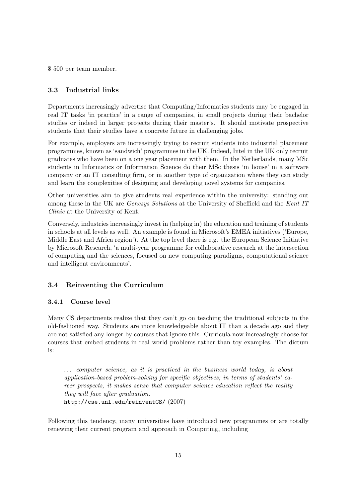\$ 500 per team member.

### 3.3 Industrial links

Departments increasingly advertise that Computing/Informatics students may be engaged in real IT tasks 'in practice' in a range of companies, in small projects during their bachelor studies or indeed in larger projects during their master's. It should motivate prospective students that their studies have a concrete future in challenging jobs.

For example, employers are increasingly trying to recruit students into industrial placement programmes, known as 'sandwich' programmes in the UK. Indeed, Intel in the UK only recruit graduates who have been on a one year placement with them. In the Netherlands, many MSc students in Informatics or Information Science do their MSc thesis 'in house' in a software company or an IT consulting firm, or in another type of organization where they can study and learn the complexities of designing and developing novel systems for companies.

Other universities aim to give students real experience within the university: standing out among these in the UK are Genesys Solutions at the University of Sheffield and the Kent IT Clinic at the University of Kent.

Conversely, industries increasingly invest in (helping in) the education and training of students in schools at all levels as well. An example is found in Microsoft's EMEA initiatives ('Europe, Middle East and Africa region'). At the top level there is e.g. the European Science Initiative by Microsoft Research, 'a multi-year programme for collaborative research at the intersection of computing and the sciences, focused on new computing paradigms, computational science and intelligent environments'.

### 3.4 Reinventing the Curriculum

### 3.4.1 Course level

Many CS departments realize that they can't go on teaching the traditional subjects in the old-fashioned way. Students are more knowledgeable about IT than a decade ago and they are not satisfied any longer by courses that ignore this. Curricula now increasingly choose for courses that embed students in real world problems rather than toy examples. The dictum is:

... computer science, as it is practiced in the business world today, is about application-based problem-solving for specific objectives; in terms of students' career prospects, it makes sense that computer science education reflect the reality they will face after graduation. http://cse.unl.edu/reinventCS/ (2007)

Following this tendency, many universities have introduced new programmes or are totally renewing their current program and approach in Computing, including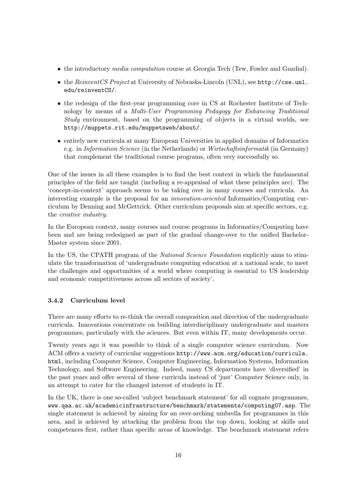- the introductory *media computation* course at Georgia Tech (Tew, Fowler and Guzdial).
- the ReinventCS Project at University of Nebraska-Lincoln (UNL), see http://cse.unl. edu/reinventCS/.
- the redesign of the first-year programming core in CS at Rochester Institute of Technology by means of a Multi-User Programming Pedagogy for Enhancing Traditional Study environment, based on the programming of objects in a virtual worlds, see http://muppets.rit.edu/muppetsweb/about/.
- entirely new curricula at many European Universities in applied domains of Informatics e.g. in Information Science (in the Netherlands) or Wirtschaftsinformatik (in Germany) that complement the traditional course programs, often very successfully so.

One of the issues in all these examples is to find the best context in which the fundamental principles of the field are taught (including a re-appraisal of what these principles are). The 'concept-in-context' approach seems to be taking over in many courses and curricula. An interesting example is the proposal for an innovation-oriented Informatics/Computing curriculum by Denning and McGettrick. Other curriculum proposals aim at specific sectors, e.g. the creative industry.

In the European context, many courses and course programs in Informatics/Computing have been and are being redesigned as part of the gradual change-over to the unified Bachelor-Master system since 2001.

In the US, the CPATH program of the *National Science Foundation* explicitly aims to stimulate the transformation of 'undergraduate computing education at a national scale, to meet the challenges and opportunities of a world where computing is essential to US leadership and economic competitiveness across all sectors of society'.

# 3.4.2 Curriculum level

There are many efforts to re-think the overall composition and direction of the undergraduate curricula. Innovations concentrate on building interdisciplinary undergraduate and masters programmes, particularly with the sciences. But even within IT, many developments occur.

Twenty years ago it was possible to think of a single computer science curriculum. Now ACM offers a variety of curricular suggestions http://www.acm.org/education/curricula. html, including Computer Science, Computer Engineering, Information Systems, Information Technology, and Software Engineering. Indeed, many CS departments have 'diversified' in the past years and offer several of these curricula instead of 'just' Computer Science only, in an attempt to cater for the changed interest of students in IT.

In the UK, there is one so-called 'subject benchmark statement' for all cognate programmes, www.qaa.ac.uk/academicinfrastructure/benchmark/statements/computing07.asp. The single statement is achieved by aiming for an over-arching umbrella for programmes in this area, and is achieved by attacking the problem from the top down, looking at skills and competences first, rather than specific areas of knowledge. The benchmark statement refers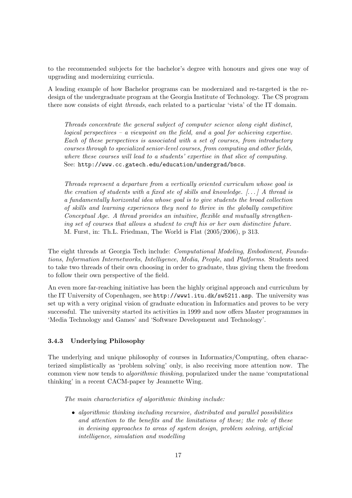to the recommended subjects for the bachelor's degree with honours and gives one way of upgrading and modernizing curricula.

A leading example of how Bachelor programs can be modernized and re-targeted is the redesign of the undergraduate program at the Georgia Institute of Technology. The CS program there now consists of eight threads, each related to a particular 'vista' of the IT domain.

Threads concentrate the general subject of computer science along eight distinct, logical perspectives – a viewpoint on the field, and a goal for achieving expertise. Each of these perspectives is associated with a set of courses, from introductory courses through to specialized senior-level courses, from computing and other fields, where these courses will lead to a students' expertise in that slice of computing. See: http://www.cc.gatech.edu/education/undergrad/bscs.

Threads represent a departure from a vertically oriented curriculum whose goal is the creation of students with a fixed ste of skills and knowledge.  $[\dots]$  A thread is a fundamentally horizontal idea whose goal is to give students the broad collection of skills and learning experiences they need to thrive in the globally competitive Conceptual Age. A thread provides an intuitive, flexible and mutually strengthening set of courses that allows a student to craft his or her own distinctive future. M. Furst, in: Th.L. Friedman, The World is Flat (2005/2006), p 313.

The eight threads at Georgia Tech include: Computational Modeling, Embodiment, Foundations, Information Internetworks, Intelligence, Media, People, and Platforms. Students need to take two threads of their own choosing in order to graduate, thus giving them the freedom to follow their own perspective of the field.

An even more far-reaching initiative has been the highly original approach and curriculum by the IT University of Copenhagen, see http://www1.itu.dk/sw5211.asp. The university was set up with a very original vision of graduate education in Informatics and proves to be very successful. The university started its activities in 1999 and now offers Master programmes in 'Media Technology and Games' and 'Software Development and Technology'.

### 3.4.3 Underlying Philosophy

The underlying and unique philosophy of courses in Informatics/Computing, often characterized simplistically as 'problem solving' only, is also receiving more attention now. The common view now tends to *algorithmic thinking*, popularized under the name 'computational thinking' in a recent CACM-paper by Jeannette Wing.

The main characteristics of algorithmic thinking include:

• algorithmic thinking including recursive, distributed and parallel possibilities and attention to the benefits and the limitations of these; the role of these in devising approaches to areas of system design, problem solving, artificial intelligence, simulation and modelling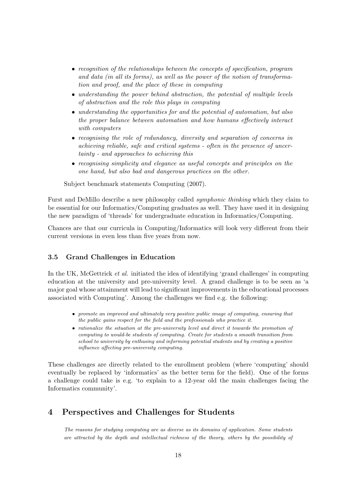- recognition of the relationships between the concepts of specification, program and data (in all its forms), as well as the power of the notion of transformation and proof, and the place of these in computing
- understanding the power behind abstraction, the potential of multiple levels of abstraction and the role this plays in computing
- understanding the opportunities for and the potential of automation, but also the proper balance between automation and how humans effectively interact with computers
- recognising the role of redundancy, diversity and separation of concerns in achieving reliable, safe and critical systems - often in the presence of uncertainty - and approaches to achieving this
- recognising simplicity and elegance as useful concepts and principles on the one hand, but also bad and dangerous practices on the other.

Subject benchmark statements Computing (2007).

Furst and DeMillo describe a new philosophy called symphonic thinking which they claim to be essential for our Informatics/Computing graduates as well. They have used it in designing the new paradigm of 'threads' for undergraduate education in Informatics/Computing.

Chances are that our curricula in Computing/Informatics will look very different from their current versions in even less than five years from now.

### 3.5 Grand Challenges in Education

In the UK, McGettrick *et al.* initiated the idea of identifying 'grand challenges' in computing education at the university and pre-university level. A grand challenge is to be seen as 'a major goal whose attainment will lead to significant improvements in the educational processes associated with Computing'. Among the challenges we find e.g. the following:

- promote an improved and ultimately very positive public image of computing, ensuring that the public gains respect for the field and the professionals who practice it.
- rationalize the situation at the pre-university level and direct it towards the promotion of computing to would-be students of computing. Create for students a smooth transition from school to university by enthusing and informing potential students and by creating a positive influence affecting pre-university computing.

These challenges are directly related to the enrollment problem (where 'computing' should eventually be replaced by 'informatics' as the better term for the field). One of the forms a challenge could take is e.g. 'to explain to a 12-year old the main challenges facing the Informatics community'.

# 4 Perspectives and Challenges for Students

The reasons for studying computing are as diverse as its domains of application. Some students are attracted by the depth and intellectual richness of the theory, others by the possibility of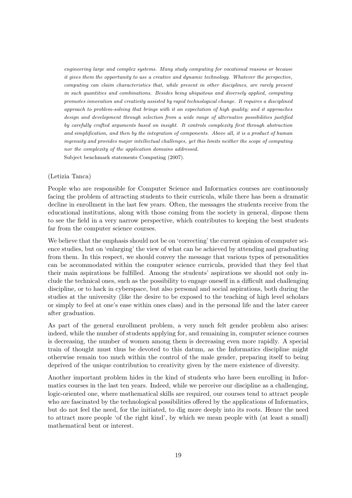engineering large and complex systems. Many study computing for vocational reasons or because it gives them the opportunity to use a creative and dynamic technology. Whatever the perspective, computing can claim characteristics that, while present in other disciplines, are rarely present in such quantities and combinations. Besides being ubiquitous and diversely applied, computing promotes innovation and creativity assisted by rapid technological change. It requires a disciplined approach to problem-solving that brings with it an expectation of high quality; and it approaches design and development through selection from a wide range of alternative possibilities justified by carefully crafted arguments based on insight. It controls complexity first through abstraction and simplification, and then by the integration of components. Above all, it is a product of human ingenuity and provides major intellectual challenges, yet this limits neither the scope of computing nor the complexity of the application domains addressed. Subject benchmark statements Computing (2007).

#### (Letizia Tanca)

People who are responsible for Computer Science and Informatics courses are continuously facing the problem of attracting students to their curricula, while there has been a dramatic decline in enrollment in the last few years. Often, the messages the students receive from the educational institutions, along with those coming from the society in general, dispose them to see the field in a very narrow perspective, which contributes to keeping the best students far from the computer science courses.

We believe that the emphasis should not be on 'correcting' the current opinion of computer science studies, but on 'enlarging' the view of what can be achieved by attending and graduating from them. In this respect, we should convey the message that various types of personalities can be accommodated within the computer science curricula, provided that they feel that their main aspirations be fulfilled. Among the students' aspirations we should not only include the technical ones, such as the possibility to engage oneself in a difficult and challenging discipline, or to hack in cyberspace, but also personal and social aspirations, both during the studies at the university (like the desire to be exposed to the teaching of high level scholars or simply to feel at one's ease within ones class) and in the personal life and the later career after graduation.

As part of the general enrollment problem, a very much felt gender problem also arises: indeed, while the number of students applying for, and remaining in, computer science courses is decreasing, the number of women among them is decreasing even more rapidly. A special train of thought must thus be devoted to this datum, as the Informatics discipline might otherwise remain too much within the control of the male gender, preparing itself to being deprived of the unique contribution to creativity given by the mere existence of diversity.

Another important problem hides in the kind of students who have been enrolling in Informatics courses in the last ten years. Indeed, while we perceive our discipline as a challenging, logic-oriented one, where mathematical skills are required, our courses tend to attract people who are fascinated by the technological possibilities offered by the applications of Informatics, but do not feel the need, for the initiated, to dig more deeply into its roots. Hence the need to attract more people 'of the right kind', by which we mean people with (at least a small) mathematical bent or interest.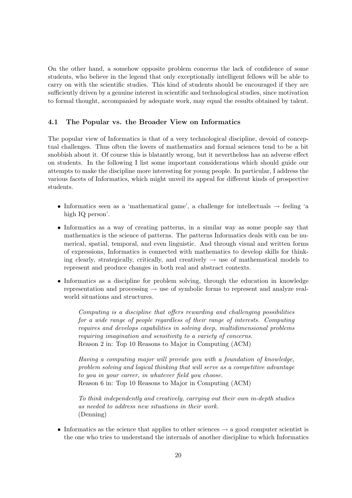On the other hand, a somehow opposite problem concerns the lack of confidence of some students, who believe in the legend that only exceptionally intelligent fellows will be able to carry on with the scientific studies. This kind of students should be encouraged if they are sufficiently driven by a genuine interest in scientific and technological studies, since motivation to formal thought, accompanied by adequate work, may equal the results obtained by talent.

### 4.1 The Popular vs. the Broader View on Informatics

The popular view of Informatics is that of a very technological discipline, devoid of conceptual challenges. Thus often the lovers of mathematics and formal sciences tend to be a bit snobbish about it. Of course this is blatantly wrong, but it nevertheless has an adverse effect on students. In the following I list some important considerations which should guide our attempts to make the discipline more interesting for young people. In particular, I address the various facets of Informatics, which might unveil its appeal for different kinds of prospective students.

- Informatics seen as a 'mathematical game', a challenge for intellectuals  $\rightarrow$  feeling 'a high IQ person'.
- Informatics as a way of creating patterns, in a similar way as some people say that mathematics is the science of patterns. The patterns Informatics deals with can be numerical, spatial, temporal, and even linguistic. And through visual and written forms of expressions, Informatics is connected with mathematics to develop skills for thinking clearly, strategically, critically, and creatively  $\rightarrow$  use of mathematical models to represent and produce changes in both real and abstract contexts.
- Informatics as a discipline for problem solving, through the education in knowledge representation and processing  $\rightarrow$  use of symbolic forms to represent and analyze realworld situations and structures.

Computing is a discipline that offers rewarding and challenging possibilities for a wide range of people regardless of their range of interests. Computing requires and develops capabilities in solving deep, multidimensional problems requiring imagination and sensitivity to a variety of concerns. Reason 2 in: Top 10 Reasons to Major in Computing (ACM)

Having a computing major will provide you with a foundation of knowledge, problem solving and logical thinking that will serve as a competitive advantage to you in your career, in whatever field you choose. Reason 6 in: Top 10 Reasons to Major in Computing (ACM)

To think independently and creatively, carrying out their own in-depth studies as needed to address new situations in their work. (Denning)

• Informatics as the science that applies to other sciences  $\rightarrow$  a good computer scientist is the one who tries to understand the internals of another discipline to which Informatics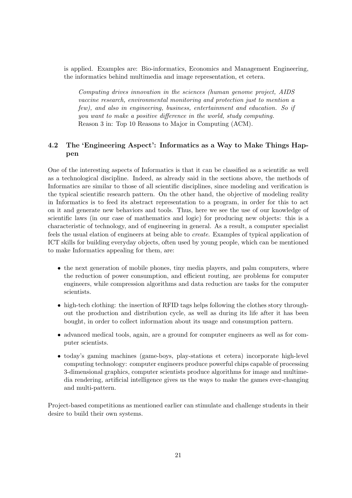is applied. Examples are: Bio-informatics, Economics and Management Engineering, the informatics behind multimedia and image representation, et cetera.

Computing drives innovation in the sciences (human genome project, AIDS vaccine research, environmental monitoring and protection just to mention a few), and also in engineering, business, entertainment and education. So if you want to make a positive difference in the world, study computing. Reason 3 in: Top 10 Reasons to Major in Computing (ACM).

# 4.2 The 'Engineering Aspect': Informatics as a Way to Make Things Happen

One of the interesting aspects of Informatics is that it can be classified as a scientific as well as a technological discipline. Indeed, as already said in the sections above, the methods of Informatics are similar to those of all scientific disciplines, since modeling and verification is the typical scientific research pattern. On the other hand, the objective of modeling reality in Informatics is to feed its abstract representation to a program, in order for this to act on it and generate new behaviors and tools. Thus, here we see the use of our knowledge of scientific laws (in our case of mathematics and logic) for producing new objects: this is a characteristic of technology, and of engineering in general. As a result, a computer specialist feels the usual elation of engineers at being able to create. Examples of typical application of ICT skills for building everyday objects, often used by young people, which can be mentioned to make Informatics appealing for them, are:

- the next generation of mobile phones, tiny media players, and palm computers, where the reduction of power consumption, and efficient routing, are problems for computer engineers, while compression algorithms and data reduction are tasks for the computer scientists.
- high-tech clothing: the insertion of RFID tags helps following the clothes story throughout the production and distribution cycle, as well as during its life after it has been bought, in order to collect information about its usage and consumption pattern.
- advanced medical tools, again, are a ground for computer engineers as well as for computer scientists.
- today's gaming machines (game-boys, play-stations et cetera) incorporate high-level computing technology: computer engineers produce powerful chips capable of processing 3-dimensional graphics, computer scientists produce algorithms for image and multimedia rendering, artificial intelligence gives us the ways to make the games ever-changing and multi-pattern.

Project-based competitions as mentioned earlier can stimulate and challenge students in their desire to build their own systems.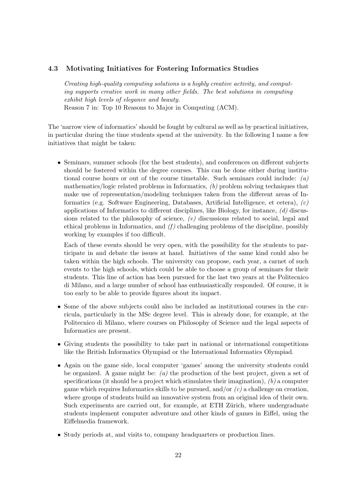### 4.3 Motivating Initiatives for Fostering Informatics Studies

Creating high-quality computing solutions is a highly creative activity, and computing supports creative work in many other fields. The best solutions in computing exhibit high levels of elegance and beauty. Reason 7 in: Top 10 Reasons to Major in Computing (ACM).

The 'narrow view of informatics' should be fought by cultural as well as by practical initiatives, in particular during the time students spend at the university. In the following I name a few initiatives that might be taken:

• Seminars, summer schools (for the best students), and conferences on different subjects should be fostered within the degree courses. This can be done either during institutional course hours or out of the course timetable. Such seminars could include:  $(a)$ mathematics/logic related problems in Informatics, (b) problem solving techniques that make use of representation/modeling techniques taken from the different areas of Informatics (e.g. Software Engineering, Databases, Artificial Intelligence, et cetera), (c) applications of Informatics to different disciplines, like Biology, for instance,  $(d)$  discussions related to the philosophy of science, (e) discussions related to social, legal and ethical problems in Informatics, and  $(f)$  challenging problems of the discipline, possibly working by examples if too difficult.

Each of these events should be very open, with the possibility for the students to participate in and debate the issues at hand. Initiatives of the same kind could also be taken within the high schools. The university can propose, each year, a carnet of such events to the high schools, which could be able to choose a group of seminars for their students. This line of action has been pursued for the last two years at the Politecnico di Milano, and a large number of school has enthusiastically responded. Of course, it is too early to be able to provide figures about its impact.

- Some of the above subjects could also be included as institutional courses in the curricula, particularly in the MSc degree level. This is already done, for example, at the Politecnico di Milano, where courses on Philosophy of Science and the legal aspects of Informatics are present.
- Giving students the possibility to take part in national or international competitions like the British Informatics Olympiad or the International Informatics Olympiad.
- Again on the game side, local computer 'games' among the university students could be organized. A game might be:  $(a)$  the production of the best project, given a set of specifications (it should be a project which stimulates their imagination),  $(b)$  a computer game which requires Informatics skills to be pursued, and/or  $(c)$  a challenge on creation, where groups of students build an innovative system from an original idea of their own. Such experiments are carried out, for example, at ETH Zürich, where undergraduate students implement computer adventure and other kinds of games in Eiffel, using the Eiffelmedia framework.
- Study periods at, and visits to, company headquarters or production lines.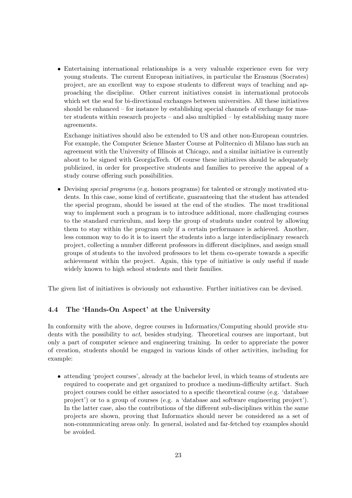• Entertaining international relationships is a very valuable experience even for very young students. The current European initiatives, in particular the Erasmus (Socrates) project, are an excellent way to expose students to different ways of teaching and approaching the discipline. Other current initiatives consist in international protocols which set the seal for bi-directional exchanges between universities. All these initiatives should be enhanced – for instance by establishing special channels of exchange for master students within research projects – and also multiplied – by establishing many more agreements.

Exchange initiatives should also be extended to US and other non-European countries. For example, the Computer Science Master Course at Politecnico di Milano has such an agreement with the University of Illinois at Chicago, and a similar initiative is currently about to be signed with GeorgiaTech. Of course these initiatives should be adequately publicized, in order for prospective students and families to perceive the appeal of a study course offering such possibilities.

• Devising special programs (e.g. honors programs) for talented or strongly motivated students. In this case, some kind of certificate, guaranteeing that the student has attended the special program, should be issued at the end of the studies. The most traditional way to implement such a program is to introduce additional, more challenging courses to the standard curriculum, and keep the group of students under control by allowing them to stay within the program only if a certain performance is achieved. Another, less common way to do it is to insert the students into a large interdisciplinary research project, collecting a number different professors in different disciplines, and assign small groups of students to the involved professors to let them co-operate towards a specific achievement within the project. Again, this type of initiative is only useful if made widely known to high school students and their families.

The given list of initiatives is obviously not exhaustive. Further initiatives can be devised.

### 4.4 The 'Hands-On Aspect' at the University

In conformity with the above, degree courses in Informatics/Computing should provide students with the possibility to *act*, besides studying. Theoretical courses are important, but only a part of computer science and engineering training. In order to appreciate the power of creation, students should be engaged in various kinds of other activities, including for example:

• attending 'project courses', already at the bachelor level, in which teams of students are required to cooperate and get organized to produce a medium-difficulty artifact. Such project courses could be either associated to a specific theoretical course (e.g. 'database project') or to a group of courses (e.g. a 'database and software engineering project'). In the latter case, also the contributions of the different sub-disciplines within the same projects are shown, proving that Informatics should never be considered as a set of non-communicating areas only. In general, isolated and far-fetched toy examples should be avoided.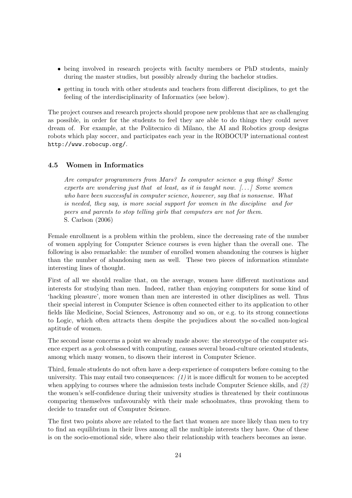- being involved in research projects with faculty members or PhD students, mainly during the master studies, but possibly already during the bachelor studies.
- getting in touch with other students and teachers from different disciplines, to get the feeling of the interdisciplinarity of Informatics (see below).

The project courses and research projects should propose new problems that are as challenging as possible, in order for the students to feel they are able to do things they could never dream of. For example, at the Politecnico di Milano, the AI and Robotics group designs robots which play soccer, and participates each year in the ROBOCUP international contest http://www.robocup.org/.

# 4.5 Women in Informatics

Are computer programmers from Mars? Is computer science a guy thing? Some experts are wondering just that at least, as it is taught now.  $[\dots]$  Some women who have been successful in computer science, however, say that is nonsense. What is needed, they say, is more social support for women in the discipline and for peers and parents to stop telling girls that computers are not for them. S. Carlson (2006)

Female enrollment is a problem within the problem, since the decreasing rate of the number of women applying for Computer Science courses is even higher than the overall one. The following is also remarkable: the number of enrolled women abandoning the courses is higher than the number of abandoning men as well. These two pieces of information stimulate interesting lines of thought.

First of all we should realize that, on the average, women have different motivations and interests for studying than men. Indeed, rather than enjoying computers for some kind of 'hacking pleasure', more women than men are interested in other disciplines as well. Thus their special interest in Computer Science is often connected either to its application to other fields like Medicine, Social Sciences, Astronomy and so on, or e.g. to its strong connections to Logic, which often attracts them despite the prejudices about the so-called non-logical aptitude of women.

The second issue concerns a point we already made above: the stereotype of the computer science expert as a geek obsessed with computing, causes several broad-culture oriented students, among which many women, to disown their interest in Computer Science.

Third, female students do not often have a deep experience of computers before coming to the university. This may entail two consequences:  $(1)$  it is more difficult for women to be accepted when applying to courses where the admission tests include Computer Science skills, and  $(2)$ the women's self-confidence during their university studies is threatened by their continuous comparing themselves unfavourably with their male schoolmates, thus provoking them to decide to transfer out of Computer Science.

The first two points above are related to the fact that women are more likely than men to try to find an equilibrium in their lives among all the multiple interests they have. One of these is on the socio-emotional side, where also their relationship with teachers becomes an issue.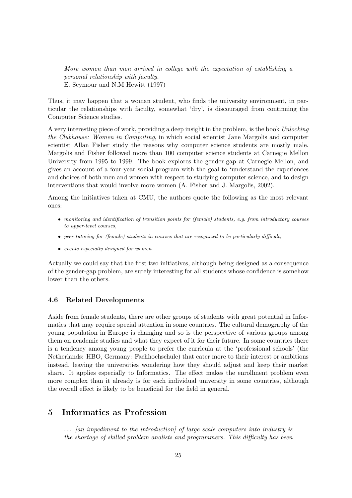More women than men arrived in college with the expectation of establishing a personal relationship with faculty. E. Seymour and N.M Hewitt (1997)

Thus, it may happen that a woman student, who finds the university environment, in particular the relationships with faculty, somewhat 'dry', is discouraged from continuing the Computer Science studies.

A very interesting piece of work, providing a deep insight in the problem, is the book Unlocking the Clubhouse: Women in Computing, in which social scientist Jane Margolis and computer scientist Allan Fisher study the reasons why computer science students are mostly male. Margolis and Fisher followed more than 100 computer science students at Carnegie Mellon University from 1995 to 1999. The book explores the gender-gap at Carnegie Mellon, and gives an account of a four-year social program with the goal to 'understand the experiences and choices of both men and women with respect to studying computer science, and to design interventions that would involve more women (A. Fisher and J. Margolis, 2002).

Among the initiatives taken at CMU, the authors quote the following as the most relevant ones:

- monitoring and identification of transition points for (female) students, e.g. from introductory courses to upper-level courses,
- peer tutoring for (female) students in courses that are recognized to be particularly difficult,
- events especially designed for women.

Actually we could say that the first two initiatives, although being designed as a consequence of the gender-gap problem, are surely interesting for all students whose confidence is somehow lower than the others.

#### 4.6 Related Developments

Aside from female students, there are other groups of students with great potential in Informatics that may require special attention in some countries. The cultural demography of the young population in Europe is changing and so is the perspective of various groups among them on academic studies and what they expect of it for their future. In some countries there is a tendency among young people to prefer the curricula at the 'professional schools' (the Netherlands: HBO, Germany: Fachhochschule) that cater more to their interest or ambitions instead, leaving the universities wondering how they should adjust and keep their market share. It applies especially to Informatics. The effect makes the enrollment problem even more complex than it already is for each individual university in some countries, although the overall effect is likely to be beneficial for the field in general.

# 5 Informatics as Profession

. . . [an impediment to the introduction] of large scale computers into industry is the shortage of skilled problem analists and programmers. This difficulty has been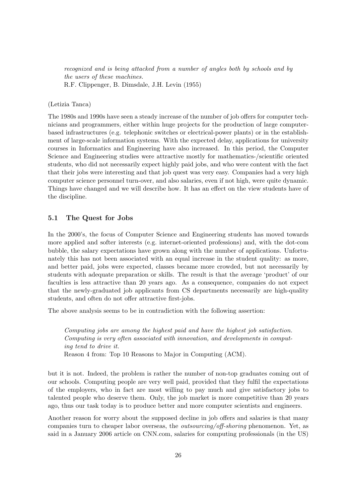recognized and is being attacked from a number of angles both by schools and by the users of these machines. R.F. Clippenger, B. Dimsdale, J.H. Levin (1955)

#### (Letizia Tanca)

The 1980s and 1990s have seen a steady increase of the number of job offers for computer technicians and programmers, either within huge projects for the production of large computerbased infrastructures (e.g. telephonic switches or electrical-power plants) or in the establishment of large-scale information systems. With the expected delay, applications for university courses in Informatics and Engineering have also increased. In this period, the Computer Science and Engineering studies were attractive mostly for mathematics-/scientific oriented students, who did not necessarily expect highly paid jobs, and who were content with the fact that their jobs were interesting and that job quest was very easy. Companies had a very high computer science personnel turn-over, and also salaries, even if not high, were quite dynamic. Things have changed and we will describe how. It has an effect on the view students have of the discipline.

### 5.1 The Quest for Jobs

In the 2000's, the focus of Computer Science and Engineering students has moved towards more applied and softer interests (e.g. internet-oriented professions) and, with the dot-com bubble, the salary expectations have grown along with the number of applications. Unfortunately this has not been associated with an equal increase in the student quality: as more, and better paid, jobs were expected, classes became more crowded, but not necessarily by students with adequate preparation or skills. The result is that the average 'product' of our faculties is less attractive than 20 years ago. As a consequence, companies do not expect that the newly-graduated job applicants from CS departments necessarily are high-quality students, and often do not offer attractive first-jobs.

The above analysis seems to be in contradiction with the following assertion:

Computing jobs are among the highest paid and have the highest job satisfaction. Computing is very often associated with innovation, and developments in computing tend to drive it. Reason 4 from: Top 10 Reasons to Major in Computing (ACM).

but it is not. Indeed, the problem is rather the number of non-top graduates coming out of our schools. Computing people are very well paid, provided that they fulfil the expectations of the employers, who in fact are most willing to pay much and give satisfactory jobs to talented people who deserve them. Only, the job market is more competitive than 20 years ago, thus our task today is to produce better and more computer scientists and engineers.

Another reason for worry about the supposed decline in job offers and salaries is that many companies turn to cheaper labor overseas, the outsourcing/off-shoring phenomenon. Yet, as said in a January 2006 article on CNN.com, salaries for computing professionals (in the US)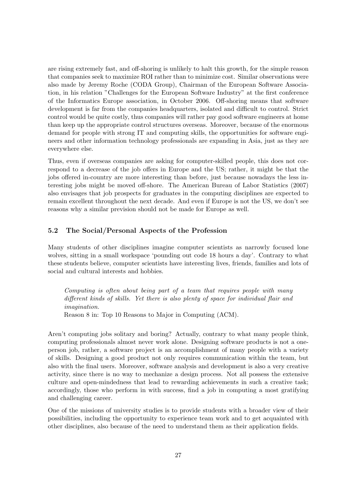are rising extremely fast, and off-shoring is unlikely to halt this growth, for the simple reason that companies seek to maximize ROI rather than to minimize cost. Similar observations were also made by Jeremy Roche (CODA Group), Chairman of the European Software Association, in his relation "Challenges for the European Software Industry" at the first conference of the Informatics Europe association, in October 2006. Off-shoring means that software development is far from the companies headquarters, isolated and difficult to control. Strict control would be quite costly, thus companies will rather pay good software engineers at home than keep up the appropriate control structures overseas. Moreover, because of the enormous demand for people with strong IT and computing skills, the opportunities for software engineers and other information technology professionals are expanding in Asia, just as they are everywhere else.

Thus, even if overseas companies are asking for computer-skilled people, this does not correspond to a decrease of the job offers in Europe and the US; rather, it might be that the jobs offered in-country are more interesting than before, just because nowadays the less interesting jobs might be moved off-shore. The American Bureau of Labor Statistics (2007) also envisages that job prospects for graduates in the computing disciplines are expected to remain excellent throughout the next decade. And even if Europe is not the US, we don't see reasons why a similar prevision should not be made for Europe as well.

# 5.2 The Social/Personal Aspects of the Profession

Many students of other disciplines imagine computer scientists as narrowly focused lone wolves, sitting in a small workspace 'pounding out code 18 hours a day'. Contrary to what these students believe, computer scientists have interesting lives, friends, families and lots of social and cultural interests and hobbies.

Computing is often about being part of a team that requires people with many different kinds of skills. Yet there is also plenty of space for individual flair and imagination.

Reason 8 in: Top 10 Reasons to Major in Computing (ACM).

Aren't computing jobs solitary and boring? Actually, contrary to what many people think, computing professionals almost never work alone. Designing software products is not a oneperson job, rather, a software project is an accomplishment of many people with a variety of skills. Designing a good product not only requires communication within the team, but also with the final users. Moreover, software analysis and development is also a very creative activity, since there is no way to mechanize a design process. Not all possess the extensive culture and open-mindedness that lead to rewarding achievements in such a creative task; accordingly, those who perform in with success, find a job in computing a most gratifying and challenging career.

One of the missions of university studies is to provide students with a broader view of their possibilities, including the opportunity to experience team work and to get acquainted with other disciplines, also because of the need to understand them as their application fields.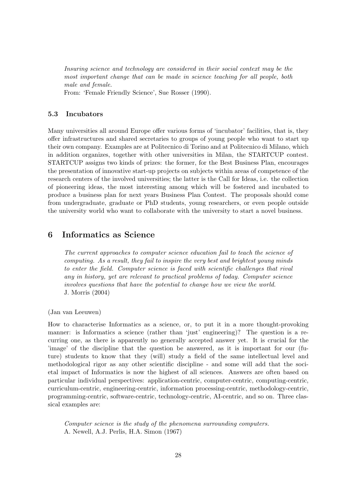Insuring science and technology are considered in their social context may be the most important change that can be made in science teaching for all people, both male and female.

From: 'Female Friendly Science', Sue Rosser (1990).

### 5.3 Incubators

Many universities all around Europe offer various forms of 'incubator' facilities, that is, they offer infrastructures and shared secretaries to groups of young people who want to start up their own company. Examples are at Politecnico di Torino and at Politecnico di Milano, which in addition organizes, together with other universities in Milan, the STARTCUP contest. STARTCUP assigns two kinds of prizes: the former, for the Best Business Plan, encourages the presentation of innovative start-up projects on subjects within areas of competence of the research centers of the involved universities; the latter is the Call for Ideas, i.e. the collection of pioneering ideas, the most interesting among which will be fostered and incubated to produce a business plan for next years Business Plan Contest. The proposals should come from undergraduate, graduate or PhD students, young researchers, or even people outside the university world who want to collaborate with the university to start a novel business.

# 6 Informatics as Science

The current approaches to computer science education fail to teach the science of computing. As a result, they fail to inspire the very best and brightest young minds to enter the field. Computer science is faced with scientific challenges that rival any in history, yet are relevant to practical problems of today. Computer science involves questions that have the potential to change how we view the world. J. Morris (2004)

(Jan van Leeuwen)

How to characterise Informatics as a science, or, to put it in a more thought-provoking manner: is Informatics a science (rather than 'just' engineering)? The question is a recurring one, as there is apparently no generally accepted answer yet. It is crucial for the 'image' of the discipline that the question be answered, as it is important for our (future) students to know that they (will) study a field of the same intellectual level and methodological rigor as any other scientific discipline - and some will add that the societal impact of Informatics is now the highest of all sciences. Answers are often based on particular individual perspectives: application-centric, computer-centric, computing-centric, curriculum-centric, engineering-centric, information processing-centric, methodology-centric, programming-centric, software-centric, technology-centric, AI-centric, and so on. Three classical examples are:

Computer science is the study of the phenomena surrounding computers. A. Newell, A.J. Perlis, H.A. Simon (1967)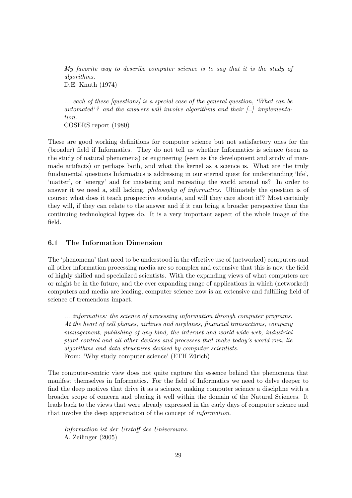My favorite way to describe computer science is to say that it is the study of algorithms. D.E. Knuth (1974)

... each of these [questions] is a special case of the general question, 'What can be automated'? and the answers will involve algorithms and their [..] implementation. COSERS report (1980)

These are good working definitions for computer science but not satisfactory ones for the (broader) field if Informatics. They do not tell us whether Informatics is science (seen as the study of natural phenomena) or engineering (seen as the development and study of manmade artifacts) or perhaps both, and what the kernel as a science is. What are the truly fundamental questions Informatics is addressing in our eternal quest for understanding 'life', 'matter', or 'energy' and for mastering and recreating the world around us? In order to answer it we need a, still lacking, philosophy of informatics. Ultimately the question is of course: what does it teach prospective students, and will they care about it!? Most certainly they will, if they can relate to the answer and if it can bring a broader perspective than the continuing technological hypes do. It is a very important aspect of the whole image of the field.

### 6.1 The Information Dimension

The 'phenomena' that need to be understood in the effective use of (networked) computers and all other information processing media are so complex and extensive that this is now the field of highly skilled and specialized scientists. With the expanding views of what computers are or might be in the future, and the ever expanding range of applications in which (networked) computers and media are leading, computer science now is an extensive and fulfilling field of science of tremendous impact.

... informatics: the science of processing information through computer programs. At the heart of cell phones, airlines and airplanes, financial transactions, company management, publishing of any kind, the internet and world wide web, industrial plant control and all other devices and processes that make today's world run, lie algorithms and data structures devised by computer scientists. From: 'Why study computer science' (ETH Zürich)

The computer-centric view does not quite capture the essence behind the phenomena that manifest themselves in Informatics. For the field of Informatics we need to delve deeper to find the deep motives that drive it as a science, making computer science a discipline with a broader scope of concern and placing it well within the domain of the Natural Sciences. It leads back to the views that were already expressed in the early days of computer science and that involve the deep appreciation of the concept of information.

Information ist der Urstoff des Universums. A. Zeilinger (2005)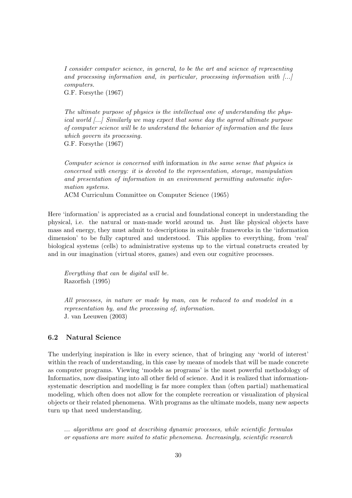I consider computer science, in general, to be the art and science of representing and processing information and, in particular, processing information with [...] computers.

G.F. Forsythe (1967)

The ultimate purpose of physics is the intellectual one of understanding the physical world [...] Similarly we may expect that some day the agreed ultimate purpose of computer science will be to understand the behavior of information and the laws which govern its processing. G.F. Forsythe (1967)

Computer science is concerned with information in the same sense that physics is concerned with energy: it is devoted to the representation, storage, manipulation and presentation of information in an environment permitting automatic information systems.

ACM Curriculum Committee on Computer Science (1965)

Here 'information' is appreciated as a crucial and foundational concept in understanding the physical, i.e. the natural or man-made world around us. Just like physical objects have mass and energy, they must admit to descriptions in suitable frameworks in the 'information dimension' to be fully captured and understood. This applies to everything, from 'real' biological systems (cells) to administrative systems up to the virtual constructs created by and in our imagination (virtual stores, games) and even our cognitive processes.

Everything that can be digital will be. Razorfish (1995)

All processes, in nature or made by man, can be reduced to and modeled in a representation by, and the processing of, information. J. van Leeuwen (2003)

### 6.2 Natural Science

The underlying inspiration is like in every science, that of bringing any 'world of interest' within the reach of understanding, in this case by means of models that will be made concrete as computer programs. Viewing 'models as programs' is the most powerful methodology of Informatics, now dissipating into all other field of science. And it is realized that informationsystematic description and modelling is far more complex than (often partial) mathematical modeling, which often does not allow for the complete recreation or visualization of physical objects or their related phenomena. With programs as the ultimate models, many new aspects turn up that need understanding.

... algorithms are good at describing dynamic processes, while scientific formulas or equations are more suited to static phenomena. Increasingly, scientific research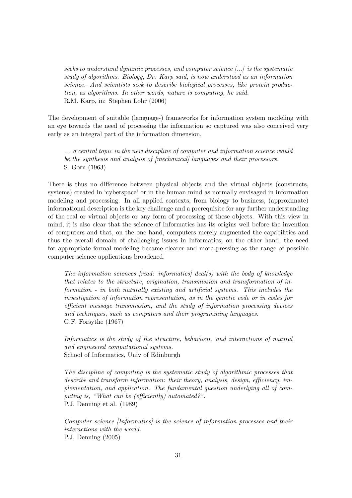seeks to understand dynamic processes, and computer science [...] is the systematic study of algorithms. Biology, Dr. Karp said, is now understood as an information science. And scientists seek to describe biological processes, like protein production, as algorithms. In other words, nature is computing, he said. R.M. Karp, in: Stephen Lohr (2006)

The development of suitable (language-) frameworks for information system modeling with an eye towards the need of processing the information so captured was also conceived very early as an integral part of the information dimension.

... a central topic in the new discipline of computer and information science would be the synthesis and analysis of *[mechanical]* languages and their processors. S. Gorn (1963)

There is thus no difference between physical objects and the virtual objects (constructs, systems) created in 'cyberspace' or in the human mind as normally envisaged in information modeling and processing. In all applied contexts, from biology to business, (approximate) informational description is the key challenge and a prerequisite for any further understanding of the real or virtual objects or any form of processing of these objects. With this view in mind, it is also clear that the science of Informatics has its origins well before the invention of computers and that, on the one hand, computers merely augmented the capabilities and thus the overall domain of challenging issues in Informatics; on the other hand, the need for appropriate formal modeling became clearer and more pressing as the range of possible computer science applications broadened.

The information sciences  $[read:$  informatics $]$  deal(s) with the body of knowledge that relates to the structure, origination, transmission and transformation of information - in both naturally existing and artificial systems. This includes the investigation of information representation, as in the genetic code or in codes for efficient message transmission, and the study of information processing devices and techniques, such as computers and their programming languages. G.F. Forsythe (1967)

Informatics is the study of the structure, behaviour, and interactions of natural and engineered computational systems. School of Informatics, Univ of Edinburgh

The discipline of computing is the systematic study of algorithmic processes that describe and transform information: their theory, analysis, design, efficiency, implementation, and application. The fundamental question underlying all of computing is, "What can be (efficiently) automated?". P.J. Denning et al. (1989)

Computer science [Informatics] is the science of information processes and their interactions with the world. P.J. Denning (2005)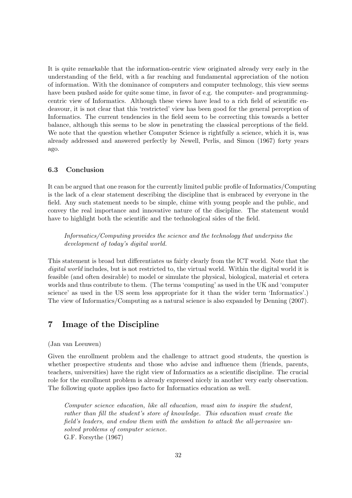It is quite remarkable that the information-centric view originated already very early in the understanding of the field, with a far reaching and fundamental appreciation of the notion of information. With the dominance of computers and computer technology, this view seems have been pushed aside for quite some time, in favor of e.g. the computer- and programmingcentric view of Informatics. Although these views have lead to a rich field of scientific endeavour, it is not clear that this 'restricted' view has been good for the general perception of Informatics. The current tendencies in the field seem to be correcting this towards a better balance, although this seems to be slow in penetrating the classical perceptions of the field. We note that the question whether Computer Science is rightfully a science, which it is, was already addressed and answered perfectly by Newell, Perlis, and Simon (1967) forty years ago.

### 6.3 Conclusion

It can be argued that one reason for the currently limited public profile of Informatics/Computing is the lack of a clear statement describing the discipline that is embraced by everyone in the field. Any such statement needs to be simple, chime with young people and the public, and convey the real importance and innovative nature of the discipline. The statement would have to highlight both the scientific and the technological sides of the field.

Informatics/Computing provides the science and the technology that underpins the development of today's digital world.

This statement is broad but differentiates us fairly clearly from the ICT world. Note that the digital world includes, but is not restricted to, the virtual world. Within the digital world it is feasible (and often desirable) to model or simulate the physical, biological, material et cetera worlds and thus contribute to them. (The terms 'computing' as used in the UK and 'computer science' as used in the US seem less appropriate for it than the wider term 'Informatics'.) The view of Informatics/Computing as a natural science is also expanded by Denning (2007).

# 7 Image of the Discipline

(Jan van Leeuwen)

Given the enrollment problem and the challenge to attract good students, the question is whether prospective students and those who advise and influence them (friends, parents, teachers, universities) have the right view of Informatics as a scientific discipline. The crucial role for the enrollment problem is already expressed nicely in another very early observation. The following quote applies ipso facto for Informatics education as well.

Computer science education, like all education, must aim to inspire the student, rather than fill the student's store of knowledge. This education must create the field's leaders, and endow them with the ambition to attack the all-pervasive unsolved problems of computer science. G.F. Forsythe (1967)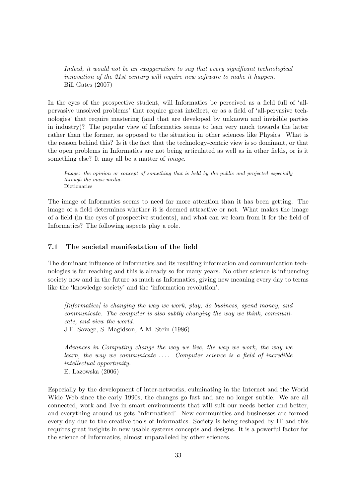Indeed, it would not be an exaggeration to say that every significant technological innovation of the 21st century will require new software to make it happen. Bill Gates (2007)

In the eyes of the prospective student, will Informatics be perceived as a field full of 'allpervasive unsolved problems' that require great intellect, or as a field of 'all-pervasive technologies' that require mastering (and that are developed by unknown and invisible parties in industry)? The popular view of Informatics seems to lean very much towards the latter rather than the former, as opposed to the situation in other sciences like Physics. What is the reason behind this? Is it the fact that the technology-centric view is so dominant, or that the open problems in Informatics are not being articulated as well as in other fields, or is it something else? It may all be a matter of *image*.

Image: the opinion or concept of something that is held by the public and projected especially through the mass media. Dictionaries

The image of Informatics seems to need far more attention than it has been getting. The image of a field determines whether it is deemed attractive or not. What makes the image of a field (in the eyes of prospective students), and what can we learn from it for the field of Informatics? The following aspects play a role.

### 7.1 The societal manifestation of the field

The dominant influence of Informatics and its resulting information and communication technologies is far reaching and this is already so for many years. No other science is influencing society now and in the future as much as Informatics, giving new meaning every day to terms like the 'knowledge society' and the 'information revolution'.

[Informatics] is changing the way we work, play, do business, spend money, and communicate. The computer is also subtly changing the way we think, communicate, and view the world. J.E. Savage, S. Magidson, A.M. Stein (1986)

Advances in Computing change the way we live, the way we work, the way we learn, the way we communicate . . . . Computer science is a field of incredible intellectual opportunity. E. Lazowska (2006)

Especially by the development of inter-networks, culminating in the Internet and the World Wide Web since the early 1990s, the changes go fast and are no longer subtle. We are all connected, work and live in smart environments that will suit our needs better and better, and everything around us gets 'informatised'. New communities and businesses are formed every day due to the creative tools of Informatics. Society is being reshaped by IT and this requires great insights in new usable systems concepts and designs. It is a powerful factor for the science of Informatics, almost unparalleled by other sciences.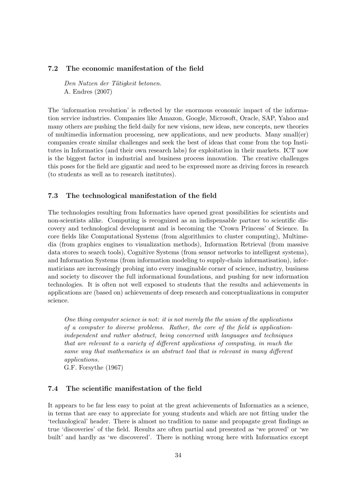### 7.2 The economic manifestation of the field

Den Nutzen der Tätigkeit betonen. A. Endres (2007)

The 'information revolution' is reflected by the enormous economic impact of the information service industries. Companies like Amazon, Google, Microsoft, Oracle, SAP, Yahoo and many others are pushing the field daily for new visions, new ideas, new concepts, new theories of multimedia information processing, new applications, and new products. Many small(er) companies create similar challenges and seek the best of ideas that come from the top Institutes in Informatics (and their own research labs) for exploitation in their markets. ICT now is the biggest factor in industrial and business process innovation. The creative challenges this poses for the field are gigantic and need to be expressed more as driving forces in research (to students as well as to research institutes).

### 7.3 The technological manifestation of the field

The technologies resulting from Informatics have opened great possibilities for scientists and non-scientists alike. Computing is recognized as an indispensable partner to scientific discovery and technological development and is becoming the 'Crown Princess' of Science. In core fields like Computational Systems (from algorithmics to cluster computing), Multimedia (from graphics engines to visualization methods), Information Retrieval (from massive data stores to search tools), Cognitive Systems (from sensor networks to intelligent systems), and Information Systems (from information modeling to supply-chain informatisation), informaticians are increasingly probing into every imaginable corner of science, industry, business and society to discover the full informational foundations, and pushing for new information technologies. It is often not well exposed to students that the results and achievements in applications are (based on) achievements of deep research and conceptualizations in computer science.

One thing computer science is not: it is not merely the the union of the applications of a computer to diverse problems. Rather, the core of the field is applicationindependent and rather abstract, being concerned with languages and techniques that are relevant to a variety of different applications of computing, in much the same way that mathematics is an abstract tool that is relevant in many different applications.

G.F. Forsythe (1967)

# 7.4 The scientific manifestation of the field

It appears to be far less easy to point at the great achievements of Informatics as a science, in terms that are easy to appreciate for young students and which are not fitting under the 'technological' header. There is almost no tradition to name and propagate great findings as true 'discoveries' of the field. Results are often partial and presented as 'we proved' or 'we built' and hardly as 'we discovered'. There is nothing wrong here with Informatics except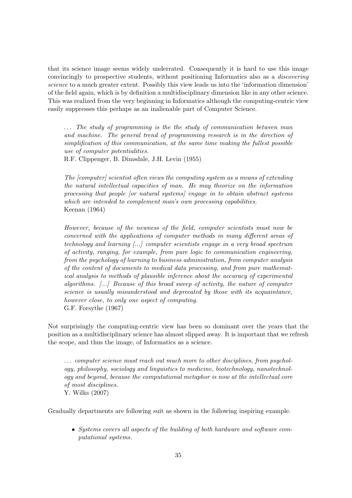that its science image seems widely underrated. Consequently it is hard to use this image convincingly to prospective students, without positioning Informatics also as a discovering science to a much greater extent. Possibly this view leads us into the 'information dimension' of the field again, which is by definition a multidisciplinary dimension like in any other science. This was realized from the very beginning in Informatics although the computing-centric view easily suppresses this perhaps as an inalienable part of Computer Science.

 $\ldots$  The study of programming is the the study of communication between man and machine. The general trend of programming research is in the direction of simplification of this communication, at the same time making the fullest possible use of computer potentialities.

R.F. Clippenger, B. Dimsdale, J.H. Levin (1955)

The [computer] scientist often views the computing system as a means of extending the natural intellectual capacities of man. He may theorize on the information processing that people [or natural systems] engage in to obtain abstract systems which are intended to complement man's own processing capabilities. Keenan (1964)

However, because of the newness of the field, computer scientists must now be concerned with the applications of computer methods in many different areas of technology and learning [...] computer scientists engage in a very broad spectrum of activity, ranging, for example, from pure logic to communication engineering, from the psychology of learning to business administration, from computer analysis of the content of documents to medical data processing, and from pure mathematical analysis to methods of plausible inference about the accuracy of experimental algorithms. [...] Because of this broad sweep of activity, the nature of computer science is usually misunderstood and deprecated by those with its acquaintance, however close, to only one aspect of computing. G.F. Forsythe (1967)

Not surprisingly the computing-centric view has been so dominant over the years that the position as a multidisciplinary science has almost slipped away. It is important that we refresh the scope, and thus the image, of Informatics as a science.

. . . computer science must reach out much more to other disciplines, from psychology, philosophy, sociology and linguistics to medicine, biotechnology, nanotechnology and beyond, because the computational metaphor is now at the intellectual core of most disciplines. Y. Wilks (2007)

Gradually departments are following suit as shown in the following inspiring example.

• Systems covers all aspects of the building of both hardware and software computational systems.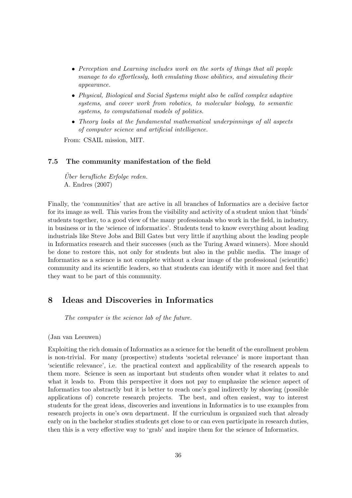- Perception and Learning includes work on the sorts of things that all people manage to do effortlessly, both emulating those abilities, and simulating their appearance.
- Physical, Biological and Social Systems might also be called complex adaptive systems, and cover work from robotics, to molecular biology, to semantic systems, to computational models of politics.
- Theory looks at the fundamental mathematical underpinnings of all aspects of computer science and artificial intelligence.

From: CSAIL mission, MIT.

### 7.5 The community manifestation of the field

 $Über\ berufliche\ Erfolge\ reden.$ A. Endres (2007)

Finally, the 'communities' that are active in all branches of Informatics are a decisive factor for its image as well. This varies from the visibility and activity of a student union that 'binds' students together, to a good view of the many professionals who work in the field, in industry, in business or in the 'science of informatics'. Students tend to know everything about leading industrials like Steve Jobs and Bill Gates but very little if anything about the leading people in Informatics research and their successes (such as the Turing Award winners). More should be done to restore this, not only for students but also in the public media. The image of Informatics as a science is not complete without a clear image of the professional (scientific) community and its scientific leaders, so that students can identify with it more and feel that they want to be part of this community.

# 8 Ideas and Discoveries in Informatics

The computer is the science lab of the future.

(Jan van Leeuwen)

Exploiting the rich domain of Informatics as a science for the benefit of the enrollment problem is non-trivial. For many (prospective) students 'societal relevance' is more important than 'scientific relevance', i.e. the practical context and applicability of the research appeals to them more. Science is seen as important but students often wonder what it relates to and what it leads to. From this perspective it does not pay to emphasize the science aspect of Informatics too abstractly but it is better to reach one's goal indirectly by showing (possible applications of) concrete research projects. The best, and often easiest, way to interest students for the great ideas, discoveries and inventions in Informatics is to use examples from research projects in one's own department. If the curriculum is organized such that already early on in the bachelor studies students get close to or can even participate in research duties, then this is a very effective way to 'grab' and inspire them for the science of Informatics.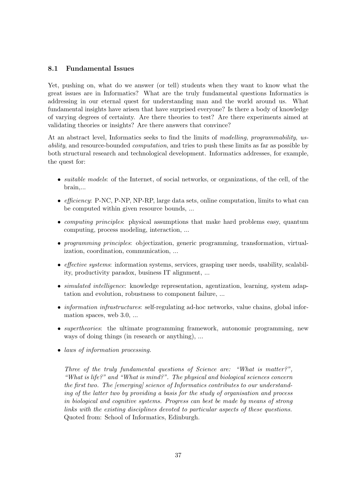# 8.1 Fundamental Issues

Yet, pushing on, what do we answer (or tell) students when they want to know what the great issues are in Informatics? What are the truly fundamental questions Informatics is addressing in our eternal quest for understanding man and the world around us. What fundamental insights have arisen that have surprised everyone? Is there a body of knowledge of varying degrees of certainty. Are there theories to test? Are there experiments aimed at validating theories or insights? Are there answers that convince?

At an abstract level, Informatics seeks to find the limits of modelling, programmability, usability, and resource-bounded computation, and tries to push these limits as far as possible by both structural research and technological development. Informatics addresses, for example, the quest for:

- *suitable models*: of the Internet, of social networks, or organizations, of the cell, of the brain,...
- *efficiency*: P-NC, P-NP, NP-RP, large data sets, online computation, limits to what can be computed within given resource bounds, ...
- *computing principles*: physical assumptions that make hard problems easy, quantum computing, process modeling, interaction, ...
- programming principles: objectization, generic programming, transformation, virtualization, coordination, communication, ...
- *effective systems*: information systems, services, grasping user needs, usability, scalability, productivity paradox, business IT alignment, ...
- *simulated intelligence*: knowledge representation, agentization, learning, system adaptation and evolution, robustness to component failure, ...
- *information infrastructures*: self-regulating ad-hoc networks, value chains, global information spaces, web 3.0, ...
- *supertheories*: the ultimate programming framework, autonomic programming, new ways of doing things (in research or anything), ...
- laws of information processing.

Three of the truly fundamental questions of Science are: "What is matter?", "What is life?" and "What is mind?". The physical and biological sciences concern the first two. The [emerging] science of Informatics contributes to our understanding of the latter two by providing a basis for the study of organisation and process in biological and cognitive systems. Progress can best be made by means of strong links with the existing disciplines devoted to particular aspects of these questions. Quoted from: School of Informatics, Edinburgh.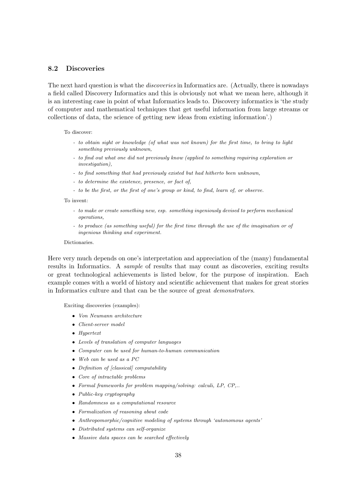# 8.2 Discoveries

The next hard question is what the *discoveries* in Informatics are. (Actually, there is nowadays a field called Discovery Informatics and this is obviously not what we mean here, although it is an interesting case in point of what Informatics leads to. Discovery informatics is 'the study of computer and mathematical techniques that get useful information from large streams or collections of data, the science of getting new ideas from existing information'.)

To discover:

- to obtain sight or knowledge (of what was not known) for the first time, to bring to light something previously unknown,
- to find out what one did not previously know (applied to something requiring exploration or investigation),
- to find something that had previously existed but had hitherto been unknown,
- to determine the existence, presence, or fact of,
- to be the first, or the first of one's group or kind, to find, learn of, or observe.

To invent:

- to make or create something new, esp. something ingeniously devised to perform mechanical operations,
- to produce (as something useful) for the first time through the use of the imagination or of ingenious thinking and experiment.

#### Dictionaries.

Here very much depends on one's interpretation and appreciation of the (many) fundamental results in Informatics. A sample of results that may count as discoveries, exciting results or great technological achievements is listed below, for the purpose of inspiration. Each example comes with a world of history and scientific achievement that makes for great stories in Informatics culture and that can be the source of great demonstrators.

Exciting discoveries (examples):

- Von Neumann architecture
- Client-server model
- Hypertext
- Levels of translation of computer languages
- Computer can be used for human-to-human communication
- Web can be used as a PC
- Definition of [classical] computability
- Core of intractable problems
- Formal frameworks for problem mapping/solving: calculi, LP, CP,..
- Public-key cryptography
- Randomness as a computational resource
- Formalization of reasoning about code
- Anthropomorphic/cognitive modeling of systems through 'autonomous agents'
- Distributed systems can self-organize
- Massive data spaces can be searched effectively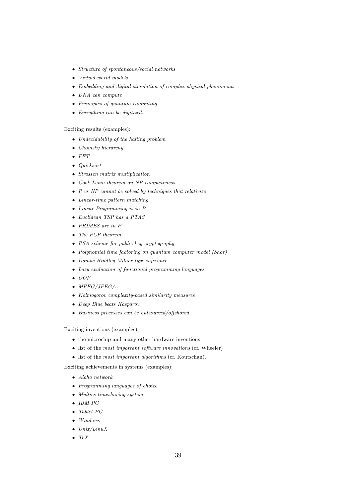- Structure of spontaneous/social networks
- Virtual-world models
- Embedding and digital simulation of complex physical phenomena
- DNA can compute
- Principles of quantum computing
- Everything can be digitized.

#### Exciting results (examples):

- Undecidability of the halting problem
- Chomsky hierarchy
- $\bullet$  FFT
- Quicksort
- Strassen matrix multiplication
- Cook-Levin theorem on NP-completeness
- $P$  vs NP cannot be solved by techniques that relativize
- Linear-time pattern matching
- Linear Programming is in P
- Euclidean TSP has a PTAS
- PRIMES are in P
- The PCP theorem
- RSA scheme for public-key cryptography
- Polynomial time factoring on quantum computer model (Shor)
- Damas-Hindley-Milner type inference
- Lazy evaluation of functional programming languages
- $\bullet$  OOP
- $\bullet$  MPEG/JPEG/ $\ldots$
- Kolmogorov complexity-based similarity measures
- Deep Blue beats Kasparov
- Business processes can be outsourced/offshored.

Exciting inventions (examples):

- the microchip and many other hardware inventions
- list of the *most important software innovations* (cf. Wheeler)
- list of the most important algorithms (cf. Koutschan).

Exciting achievements in systems (examples):

- Aloha network
- Programming languages of choice
- Multics timesharing system
- IBM PC
- Tablet PC
- Windows
- $\bullet$   $Unix/Linux$
- $\bullet$  TeX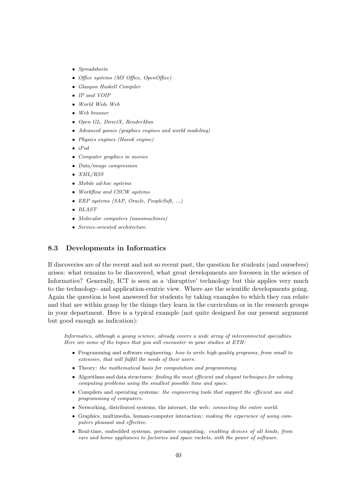- Spreadsheets
- Office systems (MS Office, OpenOffice)
- Glasgow Haskell Compiler
- IP and VOIP
- World Wide Web
- Web browser
- Open GL, DirectX, RenderMan
- Advanced games (graphics engines and world modeling)
- Physics engines (Havok engine)
- $\bullet$  *iPod*
- Computer graphics in movies
- Data/image compression
- XML/RSS
- Mobile ad-hoc systems
- Workflow and CSCW systems
- ERP systems (SAP, Oracle, PeopleSoft, ...)
- BLAST
- Molecular computers (nanomachines)
- Service-oriented architecture.

### 8.3 Developments in Informatics

If discoveries are of the recent and not so recent past, the question for students (and ourselves) arises: what remains to be discovered, what great developments are foreseen in the science of Informatics? Generally, ICT is seen as a 'disruptive' technology but this applies very much to the technology- and application-centric view. Where are the scientific developments going. Again the question is best answered for students by taking examples to which they can relate and that are within grasp by the things they learn in the curriculum or in the research groups in your department. Here is a typical example (not quite designed for our present argument but good enough as indication):

Informatics, although a young science, already covers a wide array of interconnected specialties. Here are some of the topics that you will encounter in your studies at ETH:

- Programming and software engineering: how to write high-quality programs, from small to extensive, that will fulfill the needs of their users.
- Theory: the mathematical basis for computation and programming.
- Algorithms and data structures: finding the most efficient and elegant techniques for solving computing problems using the smallest possible time and space.
- Compilers and operating systems: the engineering tools that support the efficient use and programming of computers.
- Networking, distributed systems, the internet, the web: *connecting the entire world*.
- Graphics, multimedia, human-computer interaction: making the experience of using computers pleasant and effective.
- Real-time, embedded systems, pervasive computing: enabling devices of all kinds, from cars and home appliances to factories and space rockets, with the power of software.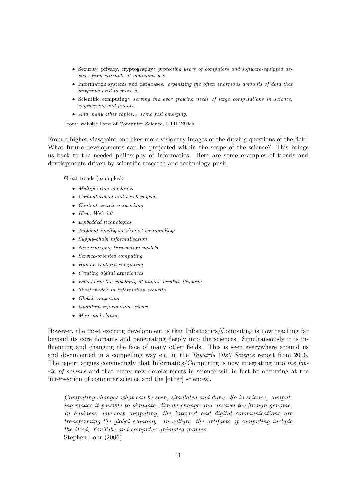- Security, privacy, cryptography: protecting users of computers and software-equipped devices from attempts at malicious use.
- Information systems and databases: organizing the often enormous amounts of data that programs need to process.
- Scientific computing: serving the ever growing needs of large computations in science, engineering and finance.
- And many other topics... some just emerging.

From: website Dept of Computer Science, ETH Zürich.

From a higher viewpoint one likes more visionary images of the driving questions of the field. What future developments can be projected within the scope of the science? This brings us back to the needed philosophy of Informatics. Here are some examples of trends and developments driven by scientific research and technology push.

Great trends (examples):

- Multiple-core machines
- Computational and wireless grids
- Content-centric networking
- IPv6, Web  $3.0$
- Embedded technologies
- Ambient intelligence/smart surroundings
- Supply-chain informatisation
- New emerging transaction models
- Service-oriented computing
- Human-centered computing
- Creating digital experiences
- Enhancing the capability of human creative thinking
- Trust models in information security
- Global computing
- Quantum information science
- Man-made brain.

However, the most exciting development is that Informatics/Computing is now reaching far beyond its core domains and penetrating deeply into the sciences. Simultaneously it is influencing and changing the face of many other fields. This is seen everywhere around us and documented in a compelling way e.g. in the *Towards 2020 Science* report from 2006. The report argues convincingly that Informatics/Computing is now integrating into the fabric of science and that many new developments in science will in fact be occurring at the 'intersection of computer science and the [other] sciences'.

Computing changes what can be seen, simulated and done. So in science, computing makes it possible to simulate climate change and unravel the human genome. In business, low-cost computing, the Internet and digital communications are transforming the global economy. In culture, the artifacts of computing include the iPod, YouTube and computer-animated movies. Stephen Lohr (2006)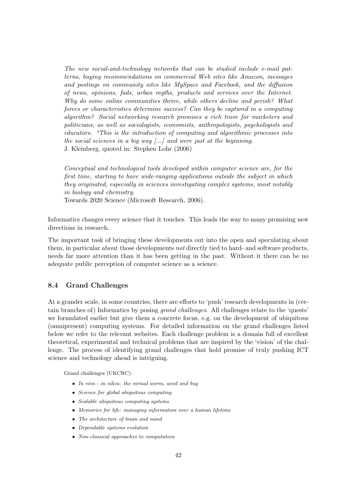The new social-and-technology networks that can be studied include e-mail patterns, buying recommendations on commercial Web sites like Amazon, messages and postings on community sites like MySpace and Facebook, and the diffusion of news, opinions, fads, urban myths, products and services over the Internet. Why do some online communities thrive, while others decline and perish? What forces or characteristics determine success? Can they be captured in a computing algorithm? Social networking research promises a rich trove for marketers and politicians, as well as sociologists, economists, anthropologists, psychologists and educators. "This is the introduction of computing and algorithmic processes into the social sciences in a big way [...] and were just at the beginning. J. Kleinberg, quoted in: Stephen Lohr (2006)

Conceptual and technological tools developed within computer science are, for the first time, starting to have wide-ranging applications outside the subject in which they originated, especially in sciences investigating complex systems, most notably in biology and chemistry.

Towards 2020 Science (Microsoft Research, 2006).

Informatics changes every science that it touches. This leads the way to many promising new directions in research.

The important task of bringing these developments out into the open and speculating about them, in particular about those developments not directly tied to hard- and software products, needs far more attention than it has been getting in the past. Without it there can be no adequate public perception of computer science as a science.

### 8.4 Grand Challenges

At a grander scale, in some countries, there are efforts to 'push' research developments in (certain branches of) Informatics by posing grand challenges. All challenges relate to the 'quests' we formulated earlier but give them a concrete focus, e.g. on the development of ubiquitous (omnipresent) computing systems. For detailed information on the grand challenges listed below we refer to the relevant websites. Each challenge problem is a domain full of excellent theoretical, experimental and technical problems that are inspired by the 'vision' of the challenge. The process of identifying grand challenges that hold promise of truly pushing ICT science and technology ahead is intriguing.

Grand challenges (UKCRC):

- In vivo in silico: the virtual worm, weed and bug
- Science for global ubiquitous computing
- Scalable ubiquitous computing systems
- Memories for life: managing information over a human lifetime
- The architecture of brain and mind
- Dependable systems evolution
- Non-classical approaches to computation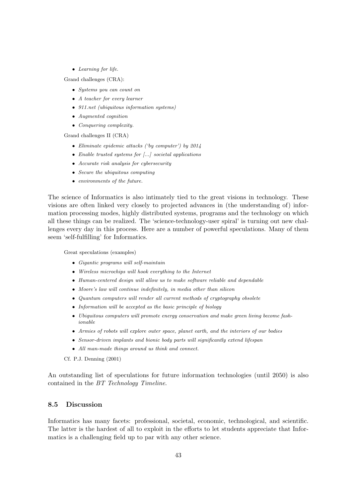• Learning for life.

Grand challenges (CRA):

- Systems you can count on
- A teacher for every learner
- 911.net (ubiquitous information systems)
- Augmented cognition
- Conquering complexity.

Grand challenges II (CRA)

- Eliminate epidemic attacks ('by computer') by 2014
- Enable trusted systems for [...] societal applications
- Accurate risk analysis for cybersecurity
- Secure the ubiquitous computing
- environments of the future.

The science of Informatics is also intimately tied to the great visions in technology. These visions are often linked very closely to projected advances in (the understanding of) information processing modes, highly distributed systems, programs and the technology on which all these things can be realized. The 'science-technology-user spiral' is turning out new challenges every day in this process. Here are a number of powerful speculations. Many of them seem 'self-fulfilling' for Informatics.

Great speculations (examples)

- Gigantic programs will self-maintain
- Wireless microchips will hook everything to the Internet
- Human-centered design will allow us to make software reliable and dependable
- Moore's law will continue indefinitely, in media other than silicon
- Quantum computers will render all current methods of cryptography obsolete
- Information will be accepted as the basic principle of biology
- Ubiquitous computers will promote energy conservation and make green living become fashionable
- Armies of robots will explore outer space, planet earth, and the interiors of our bodies
- Sensor-driven implants and bionic body parts will significantly extend lifespan
- All man-made things around us think and connect.

Cf. P.J. Denning (2001)

An outstanding list of speculations for future information technologies (until 2050) is also contained in the BT Technology Timeline.

# 8.5 Discussion

Informatics has many facets: professional, societal, economic, technological, and scientific. The latter is the hardest of all to exploit in the efforts to let students appreciate that Informatics is a challenging field up to par with any other science.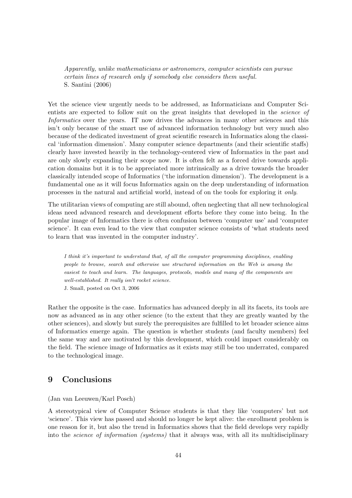Apparently, unlike mathematicians or astronomers, computer scientists can pursue certain lines of research only if somebody else considers them useful. S. Santini (2006)

Yet the science view urgently needs to be addressed, as Informaticians and Computer Scientists are expected to follow suit on the great insights that developed in the *science of* Informatics over the years. IT now drives the advances in many other sciences and this isn't only because of the smart use of advanced information technology but very much also because of the dedicated investment of great scientific research in Informatics along the classical 'information dimension'. Many computer science departments (and their scientific staffs) clearly have invested heavily in the technology-centered view of Informatics in the past and are only slowly expanding their scope now. It is often felt as a forced drive towards application domains but it is to be appreciated more intrinsically as a drive towards the broader classically intended scope of Informatics ('the information dimension'). The development is a fundamental one as it will focus Informatics again on the deep understanding of information processes in the natural and artificial world, instead of on the tools for exploring it only.

The utilitarian views of computing are still abound, often neglecting that all new technological ideas need advanced research and development efforts before they come into being. In the popular image of Informatics there is often confusion between 'computer use' and 'computer science'. It can even lead to the view that computer science consists of 'what students need to learn that was invented in the computer industry'.

I think it's important to understand that, of all the computer programming disciplines, enabling people to browse, search and otherwise use structured information on the Web is among the easiest to teach and learn. The languages, protocols, models and many of the components are well-established. It really isn't rocket science. J. Small, posted on Oct 3, 2006

Rather the opposite is the case. Informatics has advanced deeply in all its facets, its tools are now as advanced as in any other science (to the extent that they are greatly wanted by the other sciences), and slowly but surely the prerequisites are fulfilled to let broader science aims of Informatics emerge again. The question is whether students (and faculty members) feel the same way and are motivated by this development, which could impact considerably on the field. The science image of Informatics as it exists may still be too underrated, compared to the technological image.

# 9 Conclusions

(Jan van Leeuwen/Karl Posch)

A stereotypical view of Computer Science students is that they like 'computers' but not 'science'. This view has passed and should no longer be kept alive: the enrollment problem is one reason for it, but also the trend in Informatics shows that the field develops very rapidly into the *science of information (systems)* that it always was, with all its multidisciplinary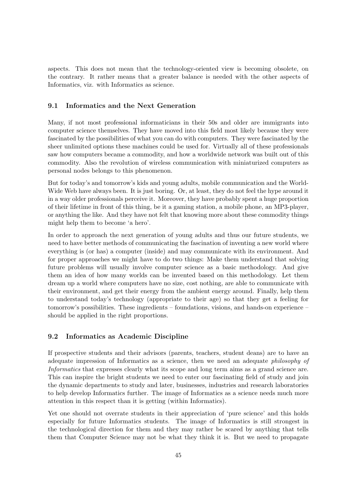aspects. This does not mean that the technology-oriented view is becoming obsolete, on the contrary. It rather means that a greater balance is needed with the other aspects of Informatics, viz. with Informatics as science.

### 9.1 Informatics and the Next Generation

Many, if not most professional informaticians in their 50s and older are immigrants into computer science themselves. They have moved into this field most likely because they were fascinated by the possibilities of what you can do with computers. They were fascinated by the sheer unlimited options these machines could be used for. Virtually all of these professionals saw how computers became a commodity, and how a worldwide network was built out of this commodity. Also the revolution of wireless communication with miniaturized computers as personal nodes belongs to this phenomenon.

But for today's and tomorrow's kids and young adults, mobile communication and the World-Wide Web have always been. It is just boring. Or, at least, they do not feel the hype around it in a way older professionals perceive it. Moreover, they have probably spent a huge proportion of their lifetime in front of this thing, be it a gaming station, a mobile phone, an MP3-player, or anything the like. And they have not felt that knowing more about these commodity things might help them to become 'a hero'.

In order to approach the next generation of young adults and thus our future students, we need to have better methods of communicating the fascination of inventing a new world where everything is (or has) a computer (inside) and may communicate with its environment. And for proper approaches we might have to do two things: Make them understand that solving future problems will usually involve computer science as a basic methodology. And give them an idea of how many worlds can be invented based on this methodology. Let them dream up a world where computers have no size, cost nothing, are able to communicate with their environment, and get their energy from the ambient energy around. Finally, help them to understand today's technology (appropriate to their age) so that they get a feeling for tomorrow's possibilities. These ingredients – foundations, visions, and hands-on experience – should be applied in the right proportions.

### 9.2 Informatics as Academic Discipline

If prospective students and their advisors (parents, teachers, student deans) are to have an adequate impression of Informatics as a science, then we need an adequate philosophy of Informatics that expresses clearly what its scope and long term aims as a grand science are. This can inspire the bright students we need to enter our fascinating field of study and join the dynamic departments to study and later, businesses, industries and research laboratories to help develop Informatics further. The image of Informatics as a science needs much more attention in this respect than it is getting (within Informatics).

Yet one should not overrate students in their appreciation of 'pure science' and this holds especially for future Informatics students. The image of Informatics is still strongest in the technological direction for them and they may rather be scared by anything that tells them that Computer Science may not be what they think it is. But we need to propagate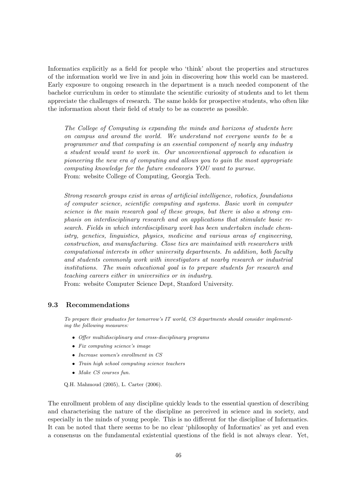Informatics explicitly as a field for people who 'think' about the properties and structures of the information world we live in and join in discovering how this world can be mastered. Early exposure to ongoing research in the department is a much needed component of the bachelor curriculum in order to stimulate the scientific curiosity of students and to let them appreciate the challenges of research. The same holds for prospective students, who often like the information about their field of study to be as concrete as possible.

The College of Computing is expanding the minds and horizons of students here on campus and around the world. We understand not everyone wants to be a programmer and that computing is an essential component of nearly any industry a student would want to work in. Our unconventional approach to education is pioneering the new era of computing and allows you to gain the most appropriate computing knowledge for the future endeavors YOU want to pursue. From: website College of Computing, Georgia Tech.

Strong research groups exist in areas of artificial intelligence, robotics, foundations of computer science, scientific computing and systems. Basic work in computer science is the main research goal of these groups, but there is also a strong emphasis on interdisciplinary research and on applications that stimulate basic research. Fields in which interdisciplinary work has been undertaken include chemistry, genetics, linguistics, physics, medicine and various areas of engineering, construction, and manufacturing. Close ties are maintained with researchers with computational interests in other university departments. In addition, both faculty and students commonly work with investigators at nearby research or industrial institutions. The main educational goal is to prepare students for research and teaching careers either in universities or in industry.

From: website Computer Science Dept, Stanford University.

#### 9.3 Recommendations

To prepare their graduates for tomorrow's IT world, CS departments should consider implementing the following measures:

- Offer multidisciplinary and cross-disciplinary programs
- Fix computing science's image
- Increase women's enrollment in CS
- Train high school computing science teachers
- Make CS courses fun.

Q.H. Mahmoud (2005), L. Carter (2006).

The enrollment problem of any discipline quickly leads to the essential question of describing and characterising the nature of the discipline as perceived in science and in society, and especially in the minds of young people. This is no different for the discipline of Informatics. It can be noted that there seems to be no clear 'philosophy of Informatics' as yet and even a consensus on the fundamental existential questions of the field is not always clear. Yet,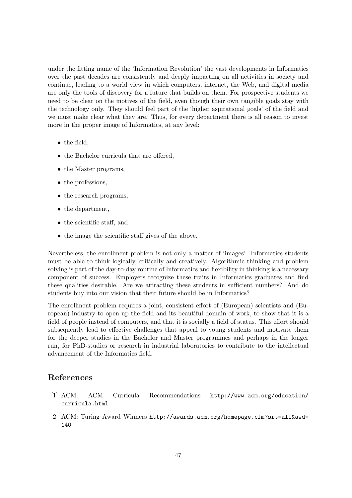under the fitting name of the 'Information Revolution' the vast developments in Informatics over the past decades are consistently and deeply impacting on all activities in society and continue, leading to a world view in which computers, internet, the Web, and digital media are only the tools of discovery for a future that builds on them. For prospective students we need to be clear on the motives of the field, even though their own tangible goals stay with the technology only. They should feel part of the 'higher aspirational goals' of the field and we must make clear what they are. Thus, for every department there is all reason to invest more in the proper image of Informatics, at any level:

- the field,
- the Bachelor curricula that are offered,
- the Master programs,
- the professions,
- the research programs,
- the department,
- the scientific staff, and
- the image the scientific staff gives of the above.

Nevertheless, the enrollment problem is not only a matter of 'images'. Informatics students must be able to think logically, critically and creatively. Algorithmic thinking and problem solving is part of the day-to-day routine of Informatics and flexibility in thinking is a necessary component of success. Employers recognize these traits in Informatics graduates and find these qualities desirable. Are we attracting these students in sufficient numbers? And do students buy into our vision that their future should be in Informatics?

The enrollment problem requires a joint, consistent effort of (European) scientists and (European) industry to open up the field and its beautiful domain of work, to show that it is a field of people instead of computers, and that it is socially a field of status. This effort should subsequently lead to effective challenges that appeal to young students and motivate them for the deeper studies in the Bachelor and Master programmes and perhaps in the longer run, for PhD-studies or research in industrial laboratories to contribute to the intellectual advancement of the Informatics field.

# References

- [1] ACM: ACM Curricula Recommendations http://www.acm.org/education/ curricula.html
- [2] ACM: Turing Award Winners http://awards.acm.org/homepage.cfm?srt=all&awd= 140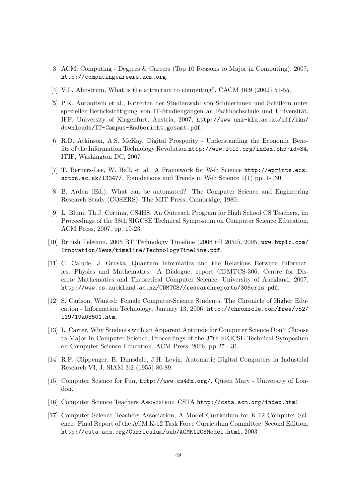- [3] ACM: Computing Degrees & Careers (Top 10 Reasons to Major in Computing), 2007, http://computingcareers.acm.org.
- [4] V.L. Almstrum, What is the attraction to computing?, CACM 46:9 (2002) 51-55.
- [5] P.K. Antonitsch et al., Kriterien der Studienwahl von Sch¨ulerinnen und Sch¨ulern unter spezieller Berücksichtigung von IT-Studiengängen an Fachhochschule und Universität, IFF, University of Klagenfurt, Austria, 2007, http://www.uni-klu.ac.at/iff/ikn/ downloads/IT-Campus-Endbericht\_gesamt.pdf.
- [6] R.D. Atkinson, A.S. McKay, Digital Prosperity Understanding the Economic Benefits of the Information Technology Revolution http://www.itif.org/index.php?id=34, ITIF, Washington DC, 2007
- [7] T. Berners-Lee, W. Hall, et al., A Framework for Web Science http://eprints.ecs. soton.ac.uk/13347/, Foundations and Trends in Web Science 1(1) pp. 1-130.
- [8] B. Arden (Ed.), What can be automated? The Computer Science and Engineering Research Study (COSERS), The MIT Press, Cambridge, 1980.
- [9] L. Blum, Th.J. Cortina, CS4HS: An Outreach Program for High School CS Teachers, in: Proceedings of the 38th SIGCSE Technical Symposium on Computer Science Education, ACM Press, 2007, pp. 19-23.
- [10] British Telecom, 2005 BT Technology Timeline (2006 till 2050), 2005, www.btplc.com/ Innovation/News/timeline/TechnologyTimeline.pdf.
- [11] C. Calude, J. Gruska, Quantum Informatics and the Relations Between Informatics, Physics and Mathematics: A Dialogue, report CDMTCS-306, Centre for Discrete Mathematics and Theoretical Computer Science, University of Auckland, 2007, http://www.cs.auckland.ac.nz/CDMTCS//researchreports/306cris.pdf.
- [12] S. Carlson, Wanted: Female Computer-Science Students, The Chronicle of Higher Education - Information Technology, January 13, 2006, http://chronicle.com/free/v52/ i19/19a03501.htm.
- [13] L. Carter, Why Students with an Apparent Aptitude for Computer Science Don't Choose to Major in Computer Science, Proceedings of the 37th SIGCSE Technical Symposium on Computer Science Education, ACM Press, 2006, pp 27 - 31.
- [14] R.F. Clippenger, B. Dimsdale, J.H. Levin, Automatic Digital Computers in Industrial Research VI, J. SIAM 3:2 (1955) 80-89.
- [15] Computer Science for Fun, http://www.cs4fn.org/, Queen Mary University of London.
- [16] Computer Science Teachers Association: CSTA http://csta.acm.org/index.html
- [17] Computer Science Teachers Association, A Model Curriculum for K-12 Computer Science: Final Report of the ACM K-12 Task Force Curriculum Committee, Second Edition, http://csta.acm.org/Curriculum/sub/ACMK12CSModel.html, 2003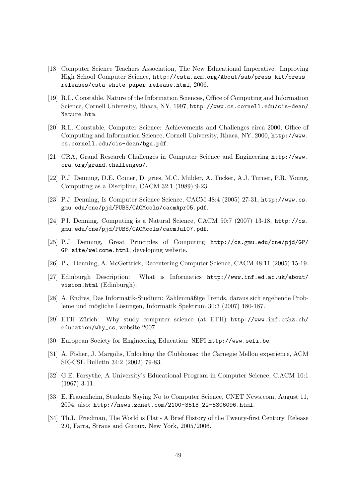- [18] Computer Science Teachers Association, The New Educational Imperative: Improving High School Computer Science, http://csta.acm.org/About/sub/press\_kit/press\_ releases/csta\_white\_paper\_release.html, 2006.
- [19] R.L. Constable, Nature of the Information Sciences, Office of Computing and Information Science, Cornell University, Ithaca, NY, 1997, http://www.cs.cornell.edu/cis-dean/ Nature.htm.
- [20] R.L. Constable, Computer Science: Achievements and Challenges circa 2000, Office of Computing and Information Science, Cornell University, Ithaca, NY, 2000, http://www. cs.cornell.edu/cis-dean/bgu.pdf.
- [21] CRA, Grand Research Challenges in Computer Science and Engineering http://www. cra.org/grand.challenges/.
- [22] P.J. Denning, D.E. Comer, D. gries, M.C. Mulder, A. Tucker, A.J. Turner, P.R. Young, Computing as a Discipline, CACM 32:1 (1989) 9-23.
- [23] P.J. Denning, Is Computer Science Science, CACM 48:4 (2005) 27-31, http://www.cs. gmu.edu/cne/pjd/PUBS/CACMcols/cacmApr05.pdf.
- [24] PJ. Denning, Computing is a Natural Science, CACM 50:7 (2007) 13-18, http://cs. gmu.edu/cne/pjd/PUBS/CACMcols/cacmJul07.pdf.
- [25] P.J. Denning, Great Principles of Computing http://cs.gmu.edu/cne/pjd/GP/ GP-site/welcome.html, developing website.
- [26] P.J. Denning, A. McGettrick, Recentering Computer Science, CACM 48:11 (2005) 15-19.
- [27] Edinburgh Description: What is Informatics http://www.inf.ed.ac.uk/about/ vision.html (Edinburgh).
- [28] A. Endres, Das Informatik-Studium: Zahlenmäßige Trends, daraus sich ergebende Probleme und mögliche Lösungen, Informatik Spektrum 30:3 (2007) 180-187.
- [29] ETH Zürich: Why study computer science (at ETH) http://www.inf.ethz.ch/ education/why\_cs, website 2007.
- [30] European Society for Engineering Education: SEFI http://www.sefi.be
- [31] A. Fisher, J. Margolis, Unlocking the Clubhouse: the Carnegie Mellon experience, ACM SIGCSE Bulletin 34:2 (2002) 79-83.
- [32] G.E. Forsythe, A University's Educational Program in Computer Science, C.ACM 10:1 (1967) 3-11.
- [33] E. Frauenheim, Students Saying No to Computer Science, CNET News.com, August 11, 2004, also: http://news.zdnet.com/2100-3513\_22-5306096.html.
- [34] Th.L. Friedman, The World is Flat A Brief History of the Twenty-first Century, Release 2.0, Farra, Straus and Giroux, New York, 2005/2006.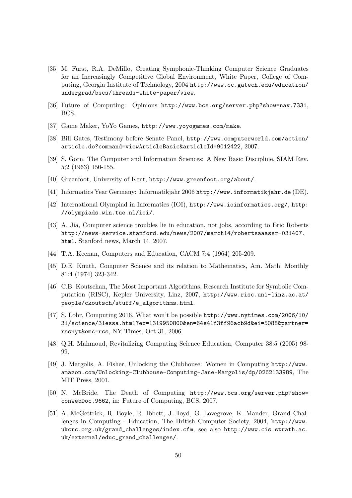- [35] M. Furst, R.A. DeMillo, Creating Symphonic-Thinking Computer Science Graduates for an Increasingly Competitive Global Environment, White Paper, College of Computing, Georgia Institute of Technology, 2004 http://www.cc.gatech.edu/education/ undergrad/bscs/threads-white-paper/view.
- [36] Future of Computing: Opinions http://www.bcs.org/server.php?show=nav.7331, BCS.
- [37] Game Maker, YoYo Games, http://www.yoyogames.com/make.
- [38] Bill Gates, Testimony before Senate Panel, http://www.computerworld.com/action/ article.do?command=viewArticleBasic&articleId=9012422, 2007.
- [39] S. Gorn, The Computer and Information Sciences: A New Basic Discipline, SIAM Rev. 5;2 (1963) 150-155.
- [40] Greenfoot, University of Kent, http://www.greenfoot.org/about/.
- [41] Informatics Year Germany: Informatikjahr 2006 http://www.informatikjahr.de (DE).
- [42] International Olympiad in Informatics (IOI), http://www.ioinformatics.org/, http: //olympiads.win.tue.nl/ioi/.
- [43] A. Jia, Computer science troubles lie in education, not jobs, according to Eric Roberts http://news-service.stanford.edu/news/2007/march14/robertsaaassr-031407. html, Stanford news, March 14, 2007.
- [44] T.A. Keenan, Computers and Education, CACM 7:4 (1964) 205-209.
- [45] D.E. Knuth, Computer Science and its relation to Mathematics, Am. Math. Monthly 81:4 (1974) 323-342.
- [46] C.B. Koutschan, The Most Important Algorithms, Research Institute for Symbolic Computation (RISC), Kepler University, Linz, 2007, http://www.risc.uni-linz.ac.at/ people/ckoutsch/stuff/e\_algorithms.html.
- [47] S. Lohr, Computing 2016, What won't be possible http://www.nytimes.com/2006/10/ 31/science/31essa.html?ex=1319950800&en=64e41f3ff96acb9d&ei=5088&partner= rssnyt&emc=rss, NY Times, Oct 31, 2006.
- [48] Q.H. Mahmoud, Revitalizing Computing Science Education, Computer 38:5 (2005) 98- 99.
- [49] J. Margolis, A. Fisher, Unlocking the Clubhouse: Women in Computing http://www. amazon.com/Unlocking-Clubhouse-Computing-Jane-Margolis/dp/0262133989, The MIT Press, 2001.
- [50] N. McBride, The Death of Computing http://www.bcs.org/server.php?show= conWebDoc.9662, in: Future of Computing, BCS, 2007.
- [51] A. McGettrick, R. Boyle, R. Ibbett, J. lloyd, G. Lovegrove, K. Mander, Grand Challenges in Computing - Education, The British Computer Society, 2004, http://www. ukcrc.org.uk/grand\_challenges/index.cfm, see also http://www.cis.strath.ac. uk/external/educ\_grand\_challenges/.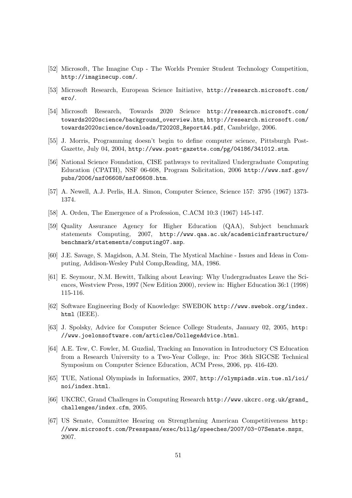- [52] Microsoft, The Imagine Cup The Worlds Premier Student Technology Competition, http://imaginecup.com/.
- [53] Microsoft Research, European Science Initiative, http://research.microsoft.com/ ero/.
- [54] Microsoft Research, Towards 2020 Science http://research.microsoft.com/ towards2020science/background\_overview.htm, http://research.microsoft.com/ towards2020science/downloads/T2020S\_ReportA4.pdf, Cambridge, 2006.
- [55] J. Morris, Programming doesn't begin to define computer science, Pittsburgh Post-Gazette, July 04, 2004, http://www.post-gazette.com/pg/04186/341012.stm.
- [56] National Science Foundation, CISE pathways to revitalized Undergraduate Computing Education (CPATH), NSF 06-608, Program Solicitation, 2006 http://www.nsf.gov/ pubs/2006/nsf06608/nsf06608.htm.
- [57] A. Newell, A.J. Perlis, H.A. Simon, Computer Science, Science 157: 3795 (1967) 1373- 1374.
- [58] A. Orden, The Emergence of a Profession, C.ACM 10:3 (1967) 145-147.
- [59] Quality Assurance Agency for Higher Education (QAA), Subject benchmark statements Computing, 2007, http://www.qaa.ac.uk/academicinfrastructure/ benchmark/statements/computing07.asp.
- [60] J.E. Savage, S. Magidson, A.M. Stein, The Mystical Machine Issues and Ideas in Computing, Addison-Wesley Publ Comp,Reading, MA, 1986.
- [61] E. Seymour, N.M. Hewitt, Talking about Leaving: Why Undergraduates Leave the Sciences, Westview Press, 1997 (New Edition 2000), review in: Higher Education 36:1 (1998) 115-116.
- [62] Software Engineering Body of Knowledge: SWEBOK http://www.swebok.org/index. html (IEEE).
- [63] J. Spolsky, Advice for Computer Science College Students, January 02, 2005, http: //www.joelonsoftware.com/articles/CollegeAdvice.html.
- [64] A.E. Tew, C. Fowler, M. Guzdial, Tracking an Innovation in Introductory CS Education from a Research University to a Two-Year College, in: Proc 36th SIGCSE Technical Symposium on Computer Science Education, ACM Press, 2006, pp. 416-420.
- [65] TUE, National Olympiads in Informatics, 2007, http://olympiads.win.tue.nl/ioi/ noi/index.html.
- [66] UKCRC, Grand Challenges in Computing Research http://www.ukcrc.org.uk/grand\_ challenges/index.cfm, 2005.
- [67] US Senate, Committee Hearing on Strengthening American Competitiveness http: //www.microsoft.com/Presspass/exec/billg/speeches/2007/03-07Senate.mspx, 2007.